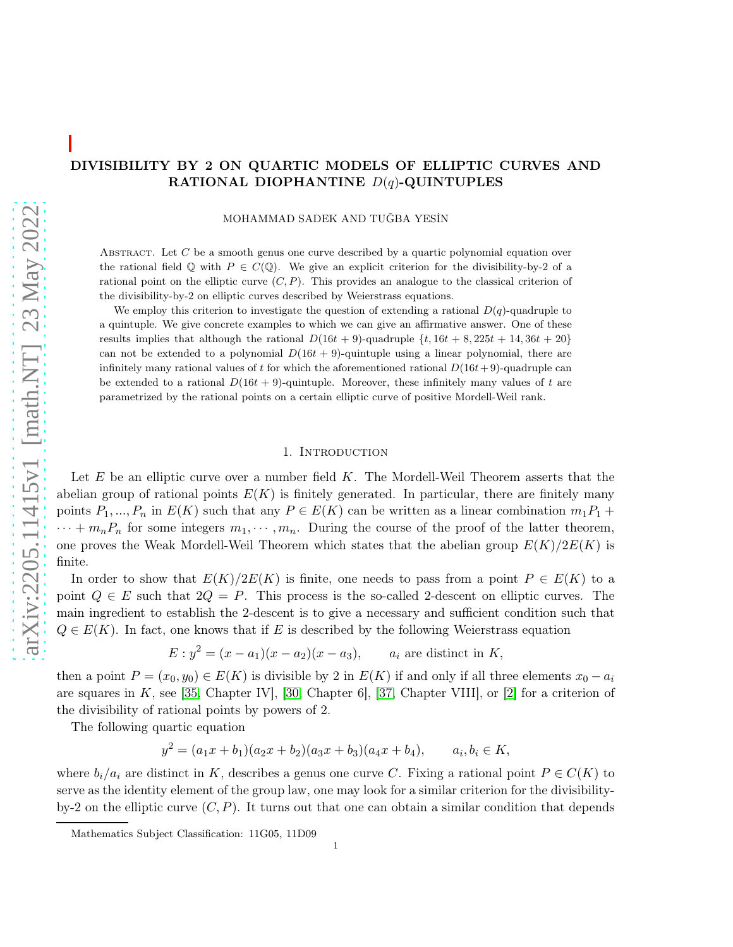# DIVISIBILITY BY 2 ON QUARTIC MODELS OF ELLIPTIC CURVES AND RATIONAL DIOPHANTINE  $D(q)$ -QUINTUPLES

MOHAMMAD SADEK AND TUĞBA YESİN

ABSTRACT. Let  $C$  be a smooth genus one curve described by a quartic polynomial equation over the rational field  $\mathbb Q$  with  $P \in C(\mathbb Q)$ . We give an explicit criterion for the divisibility-by-2 of a rational point on the elliptic curve  $(C, P)$ . This provides an analogue to the classical criterion of the divisibility-by-2 on elliptic curves described by Weierstrass equations.

We employ this criterion to investigate the question of extending a rational  $D(q)$ -quadruple to a quintuple. We give concrete examples to which we can give an affirmative answer. One of these results implies that although the rational  $D(16t + 9)$ -quadruple  $\{t, 16t + 8, 225t + 14, 36t + 20\}$ can not be extended to a polynomial  $D(16t + 9)$ -quintuple using a linear polynomial, there are infinitely many rational values of t for which the aforementioned rational  $D(16t+9)$ -quadruple can be extended to a rational  $D(16t + 9)$ -quintuple. Moreover, these infinitely many values of t are parametrized by the rational points on a certain elliptic curve of positive Mordell-Weil rank.

## 1. INTRODUCTION

Let  $E$  be an elliptic curve over a number field  $K$ . The Mordell-Weil Theorem asserts that the abelian group of rational points  $E(K)$  is finitely generated. In particular, there are finitely many points  $P_1, ..., P_n$  in  $E(K)$  such that any  $P \in E(K)$  can be written as a linear combination  $m_1P_1 +$  $\cdots + m_n P_n$  for some integers  $m_1, \cdots, m_n$ . During the course of the proof of the latter theorem, one proves the Weak Mordell-Weil Theorem which states that the abelian group  $E(K)/2E(K)$  is finite.

In order to show that  $E(K)/2E(K)$  is finite, one needs to pass from a point  $P \in E(K)$  to a point  $Q \in E$  such that  $2Q = P$ . This process is the so-called 2-descent on elliptic curves. The main ingredient to establish the 2-descent is to give a necessary and sufficient condition such that  $Q \in E(K)$ . In fact, one knows that if E is described by the following Weierstrass equation

$$
E: y^2 = (x - a_1)(x - a_2)(x - a_3),
$$
 *a<sub>i</sub>* are distinct in *K*,

then a point  $P = (x_0, y_0) \in E(K)$  is divisible by 2 in  $E(K)$  if and only if all three elements  $x_0 - a_i$ are squares in  $K$ , see [\[35,](#page-17-0) Chapter IV], [\[30,](#page-17-1) Chapter 6], [\[37,](#page-17-2) Chapter VIII], or [\[2\]](#page-16-0) for a criterion of the divisibility of rational points by powers of 2.

The following quartic equation

$$
y^{2} = (a_{1}x + b_{1})(a_{2}x + b_{2})(a_{3}x + b_{3})(a_{4}x + b_{4}), \qquad a_{i}, b_{i} \in K,
$$

where  $b_i/a_i$  are distinct in K, describes a genus one curve C. Fixing a rational point  $P \in C(K)$  to serve as the identity element of the group law, one may look for a similar criterion for the divisibilityby-2 on the elliptic curve  $(C, P)$ . It turns out that one can obtain a similar condition that depends

Mathematics Subject Classification: 11G05, 11D09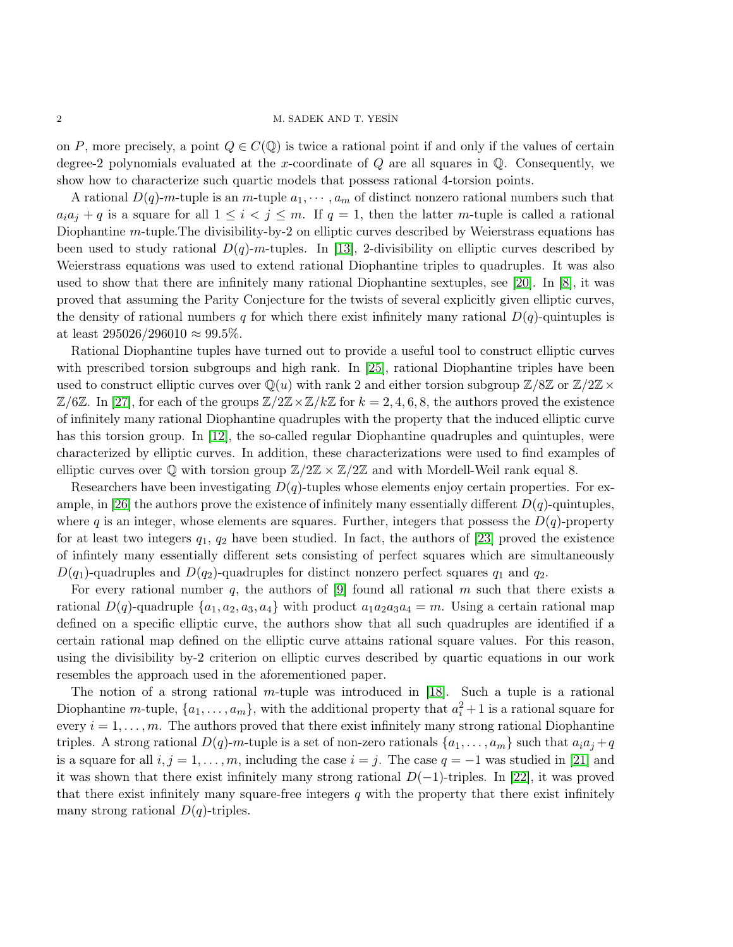on P, more precisely, a point  $Q \in C(\mathbb{Q})$  is twice a rational point if and only if the values of certain degree-2 polynomials evaluated at the x-coordinate of  $Q$  are all squares in  $Q$ . Consequently, we show how to characterize such quartic models that possess rational 4-torsion points.

A rational  $D(q)$ -m-tuple is an m-tuple  $a_1, \dots, a_m$  of distinct nonzero rational numbers such that  $a_i a_j + q$  is a square for all  $1 \leq i < j \leq m$ . If  $q = 1$ , then the latter m-tuple is called a rational Diophantine m-tuple. The divisibility-by-2 on elliptic curves described by Weierstrass equations has been used to study rational  $D(q)$ -m-tuples. In [\[13\]](#page-16-1), 2-divisibility on elliptic curves described by Weierstrass equations was used to extend rational Diophantine triples to quadruples. It was also used to show that there are infinitely many rational Diophantine sextuples, see [\[20\]](#page-16-2). In [\[8\]](#page-16-3), it was proved that assuming the Parity Conjecture for the twists of several explicitly given elliptic curves, the density of rational numbers q for which there exist infinitely many rational  $D(q)$ -quintuples is at least  $295026/296010 \approx 99.5\%$ .

Rational Diophantine tuples have turned out to provide a useful tool to construct elliptic curves with prescribed torsion subgroups and high rank. In [\[25\]](#page-17-3), rational Diophantine triples have been used to construct elliptic curves over  $\mathbb{Q}(u)$  with rank 2 and either torsion subgroup  $\mathbb{Z}/8\mathbb{Z}$  or  $\mathbb{Z}/2\mathbb{Z}\times$  $\mathbb{Z}/6\mathbb{Z}$ . In [\[27\]](#page-17-4), for each of the groups  $\mathbb{Z}/2\mathbb{Z}\times\mathbb{Z}/k\mathbb{Z}$  for  $k=2,4,6,8$ , the authors proved the existence of infinitely many rational Diophantine quadruples with the property that the induced elliptic curve has this torsion group. In [\[12\]](#page-16-4), the so-called regular Diophantine quadruples and quintuples, were characterized by elliptic curves. In addition, these characterizations were used to find examples of elliptic curves over  $\mathbb Q$  with torsion group  $\mathbb Z/2\mathbb Z \times \mathbb Z/2\mathbb Z$  and with Mordell-Weil rank equal 8.

Researchers have been investigating  $D(q)$ -tuples whose elements enjoy certain properties. For ex-ample, in [\[26\]](#page-17-5) the authors prove the existence of infinitely many essentially different  $D(q)$ -quintuples, where q is an integer, whose elements are squares. Further, integers that possess the  $D(q)$ -property for at least two integers  $q_1$ ,  $q_2$  have been studied. In fact, the authors of [\[23\]](#page-17-6) proved the existence of infintely many essentially different sets consisting of perfect squares which are simultaneously  $D(q_1)$ -quadruples and  $D(q_2)$ -quadruples for distinct nonzero perfect squares  $q_1$  and  $q_2$ .

For every rational number q, the authors of [\[9\]](#page-16-5) found all rational m such that there exists a rational  $D(q)$ -quadruple  $\{a_1, a_2, a_3, a_4\}$  with product  $a_1a_2a_3a_4 = m$ . Using a certain rational map defined on a specific elliptic curve, the authors show that all such quadruples are identified if a certain rational map defined on the elliptic curve attains rational square values. For this reason, using the divisibility by-2 criterion on elliptic curves described by quartic equations in our work resembles the approach used in the aforementioned paper.

The notion of a strong rational m-tuple was introduced in [\[18\]](#page-16-6). Such a tuple is a rational Diophantine *m*-tuple,  $\{a_1, \ldots, a_m\}$ , with the additional property that  $a_i^2 + 1$  is a rational square for every  $i = 1, \ldots, m$ . The authors proved that there exist infinitely many strong rational Diophantine triples. A strong rational  $D(q)$ -m-tuple is a set of non-zero rationals  $\{a_1, \ldots, a_m\}$  such that  $a_ia_j + q$ is a square for all  $i, j = 1, \ldots, m$ , including the case  $i = j$ . The case  $q = -1$  was studied in [\[21\]](#page-16-7) and it was shown that there exist infinitely many strong rational  $D(-1)$ -triples. In [\[22\]](#page-16-8), it was proved that there exist infinitely many square-free integers  $q$  with the property that there exist infinitely many strong rational  $D(q)$ -triples.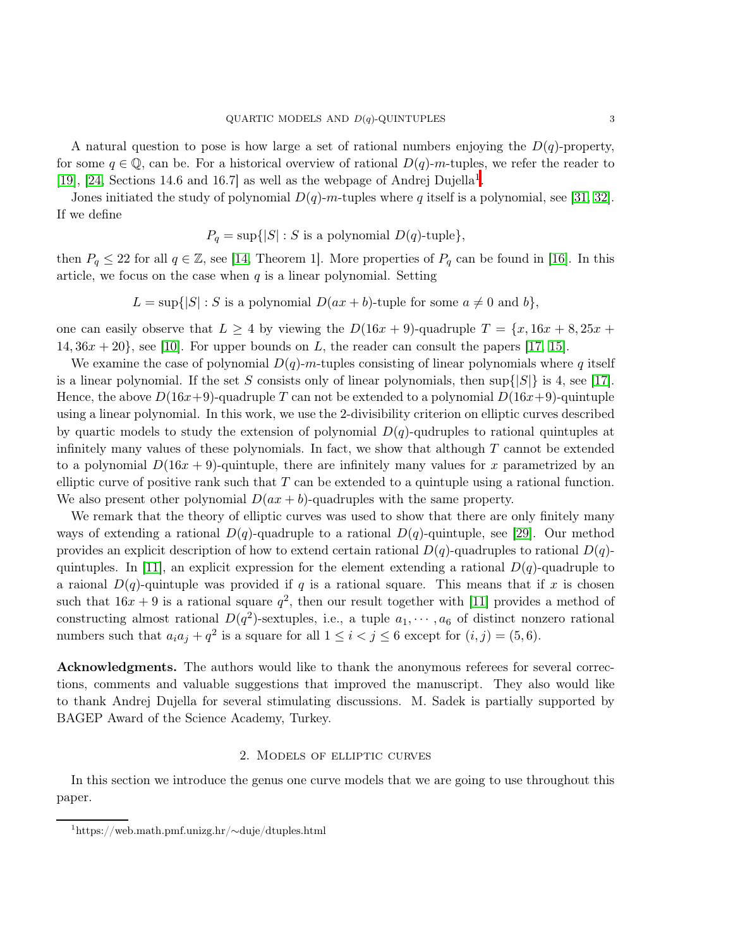A natural question to pose is how large a set of rational numbers enjoying the  $D(q)$ -property, for some  $q \in \mathbb{Q}$ , can be. For a historical overview of rational  $D(q)$ -m-tuples, we refer the reader to [\[19\]](#page-16-9), [\[24,](#page-17-7) Sections 14[.](#page-2-0)6 and 16.7] as well as the webpage of Andrej Dujella<sup>1</sup>.

Jones initiated the study of polynomial  $D(q)$ -m-tuples where q itself is a polynomial, see [\[31,](#page-17-8) [32\]](#page-17-9). If we define

$$
P_q = \sup\{|S| : S \text{ is a polynomial } D(q)\text{-tuple}\},
$$

then  $P_q \leq 22$  for all  $q \in \mathbb{Z}$ , see [\[14,](#page-16-10) Theorem 1]. More properties of  $P_q$  can be found in [\[16\]](#page-16-11). In this article, we focus on the case when  $q$  is a linear polynomial. Setting

$$
L = \sup\{|S| : S \text{ is a polynomial } D(ax + b)\text{-tuple for some } a \neq 0 \text{ and } b\},\
$$

one can easily observe that  $L \geq 4$  by viewing the  $D(16x + 9)$ -quadruple  $T = \{x, 16x + 8, 25x + 8, 25x + 8, 25x + 8, 25x + 8, 25x + 8, 25x + 8, 25x + 8, 25x + 8, 25x + 8, 25x + 8, 25x + 8, 25x + 8, 25x + 8, 25x + 8, 25x + 8, 25x + 8, 25x$ 14,  $36x + 20$ , see [\[10\]](#page-16-12). For upper bounds on L, the reader can consult the papers [\[17,](#page-16-13) [15\]](#page-16-14).

We examine the case of polynomial  $D(q)$ -m-tuples consisting of linear polynomials where q itself is a linear polynomial. If the set S consists only of linear polynomials, then  $\sup\{|S|\}$  is 4, see [\[17\]](#page-16-13). Hence, the above  $D(16x+9)$ -quadruple T can not be extended to a polynomial  $D(16x+9)$ -quintuple using a linear polynomial. In this work, we use the 2-divisibility criterion on elliptic curves described by quartic models to study the extension of polynomial  $D(q)$ -qudruples to rational quintuples at infinitely many values of these polynomials. In fact, we show that although  $T$  cannot be extended to a polynomial  $D(16x + 9)$ -quintuple, there are infinitely many values for x parametrized by an elliptic curve of positive rank such that  $T$  can be extended to a quintuple using a rational function. We also present other polynomial  $D(ax + b)$ -quadruples with the same property.

We remark that the theory of elliptic curves was used to show that there are only finitely many ways of extending a rational  $D(q)$ -quadruple to a rational  $D(q)$ -quintuple, see [\[29\]](#page-17-10). Our method provides an explicit description of how to extend certain rational  $D(q)$ -quadruples to rational  $D(q)$ -quintuples. In [\[11\]](#page-16-15), an explicit expression for the element extending a rational  $D(q)$ -quadruple to a raional  $D(q)$ -quintuple was provided if q is a rational square. This means that if x is chosen such that  $16x + 9$  is a rational square  $q^2$ , then our result together with [\[11\]](#page-16-15) provides a method of constructing almost rational  $D(q^2)$ -sextuples, i.e., a tuple  $a_1, \dots, a_6$  of distinct nonzero rational numbers such that  $a_i a_j + q^2$  is a square for all  $1 \le i < j \le 6$  except for  $(i, j) = (5, 6)$ .

Acknowledgments. The authors would like to thank the anonymous referees for several corrections, comments and valuable suggestions that improved the manuscript. They also would like to thank Andrej Dujella for several stimulating discussions. M. Sadek is partially supported by BAGEP Award of the Science Academy, Turkey.

### 2. Models of elliptic curves

In this section we introduce the genus one curve models that we are going to use throughout this paper.

<span id="page-2-0"></span><sup>1</sup>https://web.math.pmf.unizg.hr/∼duje/dtuples.html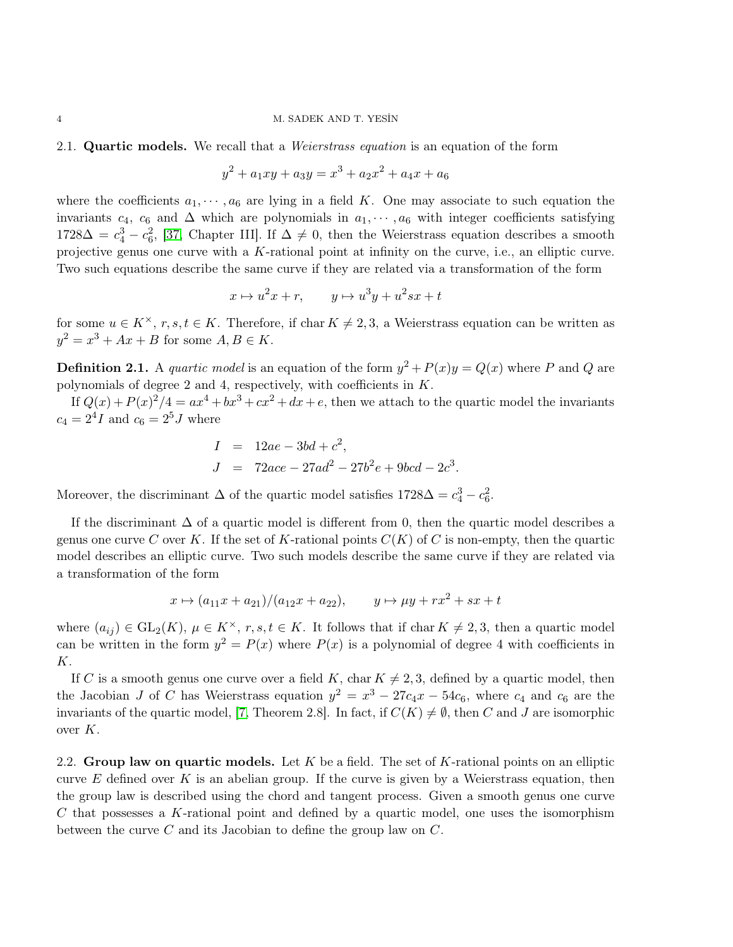#### 2.1. **Quartic models.** We recall that a *Weierstrass equation* is an equation of the form

$$
y^2 + a_1xy + a_3y = x^3 + a_2x^2 + a_4x + a_6
$$

where the coefficients  $a_1, \dots, a_6$  are lying in a field K. One may associate to such equation the invariants  $c_4$ ,  $c_6$  and  $\Delta$  which are polynomials in  $a_1, \dots, a_6$  with integer coefficients satisfying  $1728\Delta = c_4^3 - c_6^2$ , [\[37,](#page-17-2) Chapter III]. If  $\Delta \neq 0$ , then the Weierstrass equation describes a smooth projective genus one curve with a  $K$ -rational point at infinity on the curve, i.e., an elliptic curve. Two such equations describe the same curve if they are related via a transformation of the form

$$
x \mapsto u^2x + r, \qquad y \mapsto u^3y + u^2sx + t
$$

for some  $u \in K^{\times}$ ,  $r, s, t \in K$ . Therefore, if char  $K \neq 2, 3$ , a Weierstrass equation can be written as  $y^2 = x^3 + Ax + B$  for some  $A, B \in K$ .

**Definition 2.1.** A *quartic model* is an equation of the form  $y^2 + P(x)y = Q(x)$  where P and Q are polynomials of degree 2 and 4, respectively, with coefficients in K.

If  $Q(x) + P(x)^2/4 = ax^4 + bx^3 + cx^2 + dx + e$ , then we attach to the quartic model the invariants  $c_4 = 2^4 I$  and  $c_6 = 2^5 J$  where

$$
I = 12ae - 3bd + c2,
$$
  
\n
$$
J = 72ace - 27ad2 - 27b2e + 9bcd - 2c3.
$$

Moreover, the discriminant  $\Delta$  of the quartic model satisfies  $1728\Delta = c_4^3 - c_6^2$ .

If the discriminant  $\Delta$  of a quartic model is different from 0, then the quartic model describes a genus one curve C over K. If the set of K-rational points  $C(K)$  of C is non-empty, then the quartic model describes an elliptic curve. Two such models describe the same curve if they are related via a transformation of the form

$$
x \mapsto (a_{11}x + a_{21})/(a_{12}x + a_{22}), \qquad y \mapsto \mu y + rx^2 + sx + t
$$

where  $(a_{ij}) \in GL_2(K)$ ,  $\mu \in K^{\times}$ ,  $r, s, t \in K$ . It follows that if char  $K \neq 2, 3$ , then a quartic model can be written in the form  $y^2 = P(x)$  where  $P(x)$  is a polynomial of degree 4 with coefficients in K.

If C is a smooth genus one curve over a field K, char  $K \neq 2, 3$ , defined by a quartic model, then the Jacobian J of C has Weierstrass equation  $y^2 = x^3 - 27c_4x - 54c_6$ , where  $c_4$  and  $c_6$  are the invariants of the quartic model, [\[7,](#page-16-16) Theorem 2.8]. In fact, if  $C(K) \neq \emptyset$ , then C and J are isomorphic over  $K$ .

2.2. Group law on quartic models. Let  $K$  be a field. The set of  $K$ -rational points on an elliptic curve E defined over K is an abelian group. If the curve is given by a Weierstrass equation, then the group law is described using the chord and tangent process. Given a smooth genus one curve C that possesses a K-rational point and defined by a quartic model, one uses the isomorphism between the curve  $C$  and its Jacobian to define the group law on  $C$ .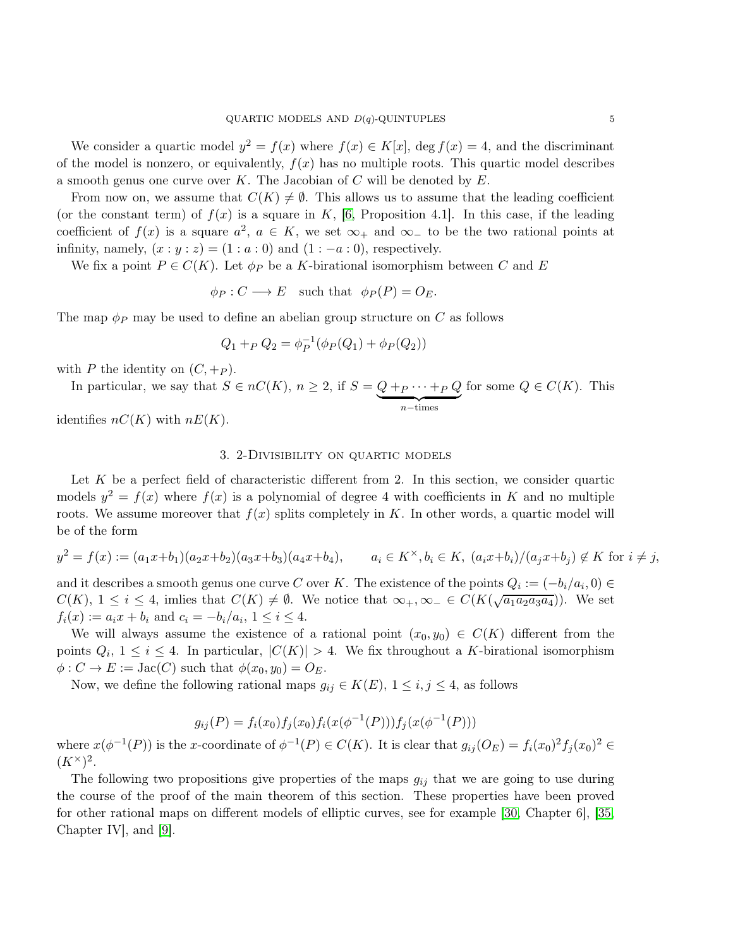We consider a quartic model  $y^2 = f(x)$  where  $f(x) \in K[x]$ , deg  $f(x) = 4$ , and the discriminant of the model is nonzero, or equivalently,  $f(x)$  has no multiple roots. This quartic model describes a smooth genus one curve over K. The Jacobian of  $C$  will be denoted by  $E$ .

From now on, we assume that  $C(K) \neq \emptyset$ . This allows us to assume that the leading coefficient (or the constant term) of  $f(x)$  is a square in K, [\[6,](#page-16-17) Proposition 4.1]. In this case, if the leading coefficient of  $f(x)$  is a square  $a^2$ ,  $a \in K$ , we set  $\infty_+$  and  $\infty_-$  to be the two rational points at infinity, namely,  $(x : y : z) = (1 : a : 0)$  and  $(1 : -a : 0)$ , respectively.

We fix a point  $P \in C(K)$ . Let  $\phi_P$  be a K-birational isomorphism between C and E

$$
\phi_P : C \longrightarrow E
$$
 such that  $\phi_P(P) = O_E$ .

The map  $\phi_P$  may be used to define an abelian group structure on C as follows

$$
Q_1 +_P Q_2 = \phi_P^{-1}(\phi_P(Q_1) + \phi_P(Q_2))
$$

with P the identity on  $(C, +P)$ .

In particular, we say that  $S \in nC(K)$ ,  $n \geq 2$ , if  $S = \underbrace{Q +_{P} \cdots +_{P} Q}$  $\overbrace{n-\text{times}}$ for some  $Q \in C(K)$ . This

identifies  $nC(K)$  with  $nE(K)$ .

## 3. 2-Divisibility on quartic models

Let  $K$  be a perfect field of characteristic different from 2. In this section, we consider quartic models  $y^2 = f(x)$  where  $f(x)$  is a polynomial of degree 4 with coefficients in K and no multiple roots. We assume moreover that  $f(x)$  splits completely in K. In other words, a quartic model will be of the form

$$
y^2 = f(x) := (a_1x + b_1)(a_2x + b_2)(a_3x + b_3)(a_4x + b_4), \qquad a_i \in K^\times, b_i \in K, \ (a_ix + b_i)/(a_jx + b_j) \notin K \text{ for } i \neq j,
$$

and it describes a smooth genus one curve C over K. The existence of the points  $Q_i := (-b_i/a_i, 0) \in$  $C(K)$ ,  $1 \leq i \leq 4$ , imlies that  $C(K) \neq \emptyset$ . We notice that  $\infty_{+}, \infty_{-} \in C(K(\sqrt{a_1 a_2 a_3 a_4}))$ . We set  $f_i(x) := a_i x + b_i$  and  $c_i = -b_i/a_i, 1 \le i \le 4$ .

We will always assume the existence of a rational point  $(x_0, y_0) \in C(K)$  different from the points  $Q_i$ ,  $1 \leq i \leq 4$ . In particular,  $|C(K)| > 4$ . We fix throughout a K-birational isomorphism  $\phi: C \to E := \text{Jac}(C)$  such that  $\phi(x_0, y_0) = O_E$ .

Now, we define the following rational maps  $g_{ij} \in K(E)$ ,  $1 \le i, j \le 4$ , as follows

$$
g_{ij}(P) = f_i(x_0) f_j(x_0) f_i(x(\phi^{-1}(P))) f_j(x(\phi^{-1}(P)))
$$

where  $x(\phi^{-1}(P))$  is the x-coordinate of  $\phi^{-1}(P) \in C(K)$ . It is clear that  $g_{ij}(O_E) = f_i(x_0)^2 f_j(x_0)^2 \in$  $(K^{\times})^2$ .

The following two propositions give properties of the maps  $g_{ij}$  that we are going to use during the course of the proof of the main theorem of this section. These properties have been proved for other rational maps on different models of elliptic curves, see for example [\[30,](#page-17-1) Chapter 6], [\[35,](#page-17-0) Chapter IV], and [\[9\]](#page-16-5).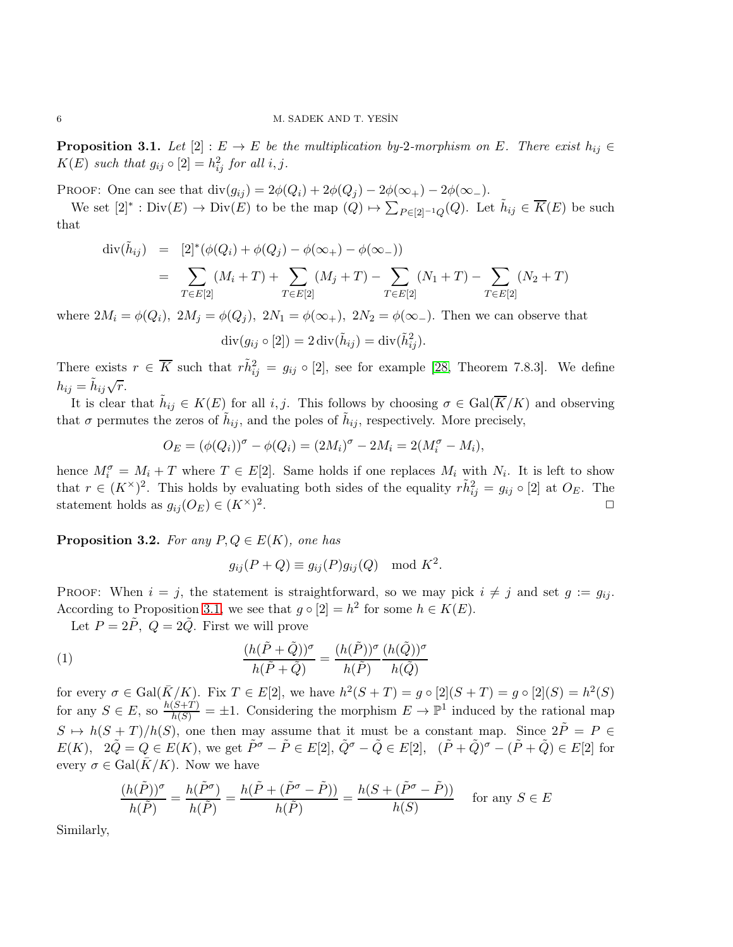<span id="page-5-0"></span>**Proposition 3.1.** Let  $[2] : E \to E$  be the multiplication by-2-morphism on E. There exist  $h_{ij} \in$  $K(E)$  such that  $g_{ij} \circ [2] = h_{ij}^2$  for all  $i, j$ .

PROOF: One can see that  $\text{div}(g_{ij}) = 2\phi(Q_i) + 2\phi(Q_j) - 2\phi(\infty)) - 2\phi(\infty)$ .

We set  $[2]^* : Div(E) \to Div(E)$  to be the map  $(Q) \mapsto \sum_{P \in [2]^{-1}Q}(Q)$ . Let  $\tilde{h}_{ij} \in \overline{K}(E)$  be such that

$$
\begin{array}{rcl}\n\text{div}(\tilde{h}_{ij}) & = & [2]^*(\phi(Q_i) + \phi(Q_j) - \phi(\infty_+) - \phi(\infty_-)) \\
& = & \sum_{T \in E[2]} (M_i + T) + \sum_{T \in E[2]} (M_j + T) - \sum_{T \in E[2]} (N_1 + T) - \sum_{T \in E[2]} (N_2 + T)\n\end{array}
$$

where  $2M_i = \phi(Q_i)$ ,  $2M_j = \phi(Q_j)$ ,  $2N_1 = \phi(\infty_+)$ ,  $2N_2 = \phi(\infty_-)$ . Then we can observe that

$$
\operatorname{div}(g_{ij} \circ [2]) = 2 \operatorname{div}(\tilde{h}_{ij}) = \operatorname{div}(\tilde{h}_{ij}^2).
$$

There exists  $r \in \overline{K}$  such that  $r\tilde{h}_{ij}^2 = g_{ij} \circ [2]$ , see for example [\[28,](#page-17-11) Theorem 7.8.3]. We define  $h_{ij} = \tilde{h}_{ij} \sqrt{r}.$ 

It is clear that  $\tilde{h}_{ij} \in K(E)$  for all i, j. This follows by choosing  $\sigma \in \text{Gal}(\overline{K}/K)$  and observing that  $\sigma$  permutes the zeros of  $\tilde{h}_{ij}$ , and the poles of  $\tilde{h}_{ij}$ , respectively. More precisely,

$$
O_E = (\phi(Q_i))^{\sigma} - \phi(Q_i) = (2M_i)^{\sigma} - 2M_i = 2(M_i^{\sigma} - M_i),
$$

hence  $M_i^{\sigma} = M_i + T$  where  $T \in E[2]$ . Same holds if one replaces  $M_i$  with  $N_i$ . It is left to show that  $r \in (K^{\times})^2$ . This holds by evaluating both sides of the equality  $r\tilde{h}_{ij}^2 = g_{ij} \circ [2]$  at  $O_E$ . The statement holds as  $g_{ij}(O_E) \in (K^{\times})^2$ . ✷

<span id="page-5-1"></span>**Proposition 3.2.** For any  $P, Q \in E(K)$ , one has

$$
g_{ij}(P+Q) \equiv g_{ij}(P)g_{ij}(Q) \mod K^2.
$$

PROOF: When  $i = j$ , the statement is straightforward, so we may pick  $i \neq j$  and set  $g := g_{ij}$ . According to Proposition [3.1,](#page-5-0) we see that  $g \circ [2] = h^2$  for some  $h \in K(E)$ .

Let  $P = 2\tilde{P}$ ,  $Q = 2\tilde{Q}$ . First we will prove

(1) 
$$
\frac{(h(\tilde{P} + \tilde{Q}))^{\sigma}}{h(\tilde{P} + \tilde{Q})} = \frac{(h(\tilde{P}))^{\sigma}}{h(\tilde{P})} \frac{(h(\tilde{Q}))^{\sigma}}{h(\tilde{Q})}
$$

for every  $\sigma \in \text{Gal}(\overline{K}/K)$ . Fix  $T \in E[2]$ , we have  $h^2(S+T) = g \circ [2](S+T) = g \circ [2](S) = h^2(S)$ for any  $S \in E$ , so  $\frac{h(S+T)}{h(S)} = \pm 1$ . Considering the morphism  $E \to \mathbb{P}^1$  induced by the rational map  $S \mapsto h(S + T)/h(S)$ , one then may assume that it must be a constant map. Since  $2\tilde{P} = P \in$  $E(K)$ ,  $2\tilde{Q} = Q \in E(K)$ , we get  $\tilde{P}^{\sigma} - \tilde{P} \in E[2]$ ,  $\tilde{Q}^{\sigma} - \tilde{Q} \in E[2]$ ,  $(\tilde{P} + \tilde{Q})^{\sigma} - (\tilde{P} + \tilde{Q}) \in E[2]$  for every  $\sigma \in \text{Gal}(\bar{K}/K)$ . Now we have

$$
\frac{(h(\tilde{P}))^{\sigma}}{h(\tilde{P})} = \frac{h(\tilde{P}^{\sigma})}{h(\tilde{P})} = \frac{h(\tilde{P} + (\tilde{P}^{\sigma} - \tilde{P}))}{h(\tilde{P})} = \frac{h(S + (\tilde{P}^{\sigma} - \tilde{P}))}{h(S)} \quad \text{for any } S \in E
$$

Similarly,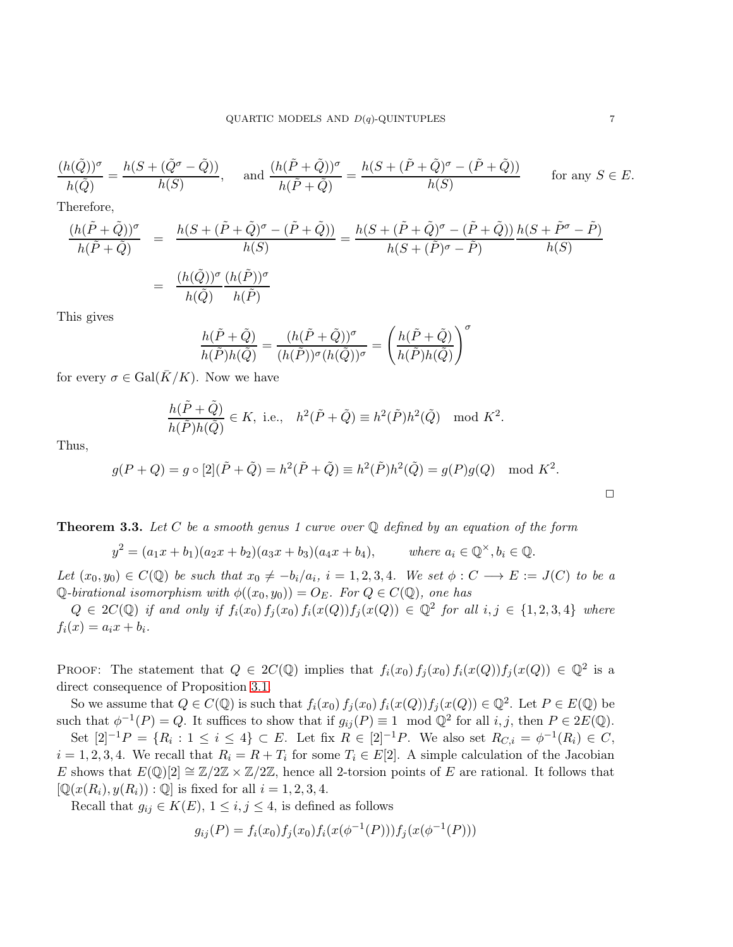$$
\frac{(h(\tilde{Q}))^{\sigma}}{h(\tilde{Q})} = \frac{h(S + (\tilde{Q}^{\sigma} - \tilde{Q}))}{h(S)}, \quad \text{and } \frac{(h(\tilde{P} + \tilde{Q}))^{\sigma}}{h(\tilde{P} + \tilde{Q})} = \frac{h(S + (\tilde{P} + \tilde{Q})^{\sigma} - (\tilde{P} + \tilde{Q}))}{h(S)} \qquad \text{for any } S \in E.
$$

Therefore,

$$
\frac{(h(\tilde{P} + \tilde{Q}))^{\sigma}}{h(\tilde{P} + \tilde{Q})} = \frac{h(S + (\tilde{P} + \tilde{Q})^{\sigma} - (\tilde{P} + \tilde{Q}))}{h(S)} = \frac{h(S + (\tilde{P} + \tilde{Q})^{\sigma} - (\tilde{P} + \tilde{Q}))}{h(S + (\tilde{P})^{\sigma} - \tilde{P})} \frac{h(S + \tilde{P}^{\sigma} - \tilde{P})}{h(S)} = \frac{(h(\tilde{Q}))^{\sigma}}{h(\tilde{Q})} \frac{(h(\tilde{P}))^{\sigma}}{h(\tilde{P})}
$$

This gives

$$
\frac{h(\tilde{P}+\tilde{Q})}{h(\tilde{P})h(\tilde{Q})}=\frac{(h(\tilde{P}+\tilde{Q}))^\sigma}{(h(\tilde{P}))^\sigma(h(\tilde{Q}))^\sigma}=\left(\frac{h(\tilde{P}+\tilde{Q})}{h(\tilde{P})h(\tilde{Q})}\right)^\sigma
$$

for every  $\sigma \in \text{Gal}(\bar{K}/K)$ . Now we have

$$
\frac{h(\tilde{P}+\tilde{Q})}{h(\tilde{P})h(\tilde{Q})} \in K, \text{ i.e., } h^2(\tilde{P}+\tilde{Q}) \equiv h^2(\tilde{P})h^2(\tilde{Q}) \mod K^2.
$$

Thus,

$$
g(P+Q) = g \circ [2](\tilde{P} + \tilde{Q}) = h^2(\tilde{P} + \tilde{Q}) \equiv h^2(\tilde{P})h^2(\tilde{Q}) = g(P)g(Q) \mod K^2.
$$

<span id="page-6-0"></span>**Theorem 3.3.** Let C be a smooth genus 1 curve over  $Q$  defined by an equation of the form

 $y^2 = (a_1x + b_1)(a_2x + b_2)(a_3x + b_3)(a_4x + b_4), \qquad \text{where } a_i \in \mathbb{Q}^{\times}, b_i \in \mathbb{Q}.$ 

Let  $(x_0, y_0) \in C(\mathbb{Q})$  be such that  $x_0 \neq -b_i/a_i$ ,  $i = 1, 2, 3, 4$ . We set  $\phi : C \longrightarrow E := J(C)$  to be a  $\mathbb Q$ -birational isomorphism with  $\phi((x_0, y_0)) = O_E$ . For  $Q \in C(\mathbb Q)$ , one has

 $Q \in 2C(\mathbb{Q})$  if and only if  $f_i(x_0) f_j(x_0) f_i(x(Q)) f_j(x(Q)) \in \mathbb{Q}^2$  for all  $i, j \in \{1, 2, 3, 4\}$  where  $f_i(x) = a_i x + b_i.$ 

PROOF: The statement that  $Q \in 2C(\mathbb{Q})$  implies that  $f_i(x_0) f_j(x_0) f_i(x(Q)) f_j(x(Q)) \in \mathbb{Q}^2$  is a direct consequence of Proposition [3.1.](#page-5-0)

So we assume that  $Q \in C(\mathbb{Q})$  is such that  $f_i(x_0) f_j(x_0) f_i(x(Q)) f_j(x(Q)) \in \mathbb{Q}^2$ . Let  $P \in E(\mathbb{Q})$  be such that  $\phi^{-1}(P) = Q$ . It suffices to show that if  $g_{ij}(P) \equiv 1 \mod Q^2$  for all  $i, j$ , then  $P \in 2E(\mathbb{Q})$ .

Set  $[2]^{-1}P = \{R_i : 1 \le i \le 4\} \subset E$ . Let fix  $R \in [2]^{-1}P$ . We also set  $R_{C,i} = \phi^{-1}(R_i) \in C$ ,  $i = 1, 2, 3, 4$ . We recall that  $R_i = R + T_i$  for some  $T_i \in E[2]$ . A simple calculation of the Jacobian E shows that  $E(\mathbb{Q})[2] \cong \mathbb{Z}/2\mathbb{Z} \times \mathbb{Z}/2\mathbb{Z}$ , hence all 2-torsion points of E are rational. It follows that  $[\mathbb{Q}(x(R_i), y(R_i)) : \mathbb{Q}]$  is fixed for all  $i = 1, 2, 3, 4$ .

Recall that  $g_{ij} \in K(E)$ ,  $1 \le i, j \le 4$ , is defined as follows

$$
g_{ij}(P) = f_i(x_0) f_j(x_0) f_i(x(\phi^{-1}(P))) f_j(x(\phi^{-1}(P)))
$$

 $\Box$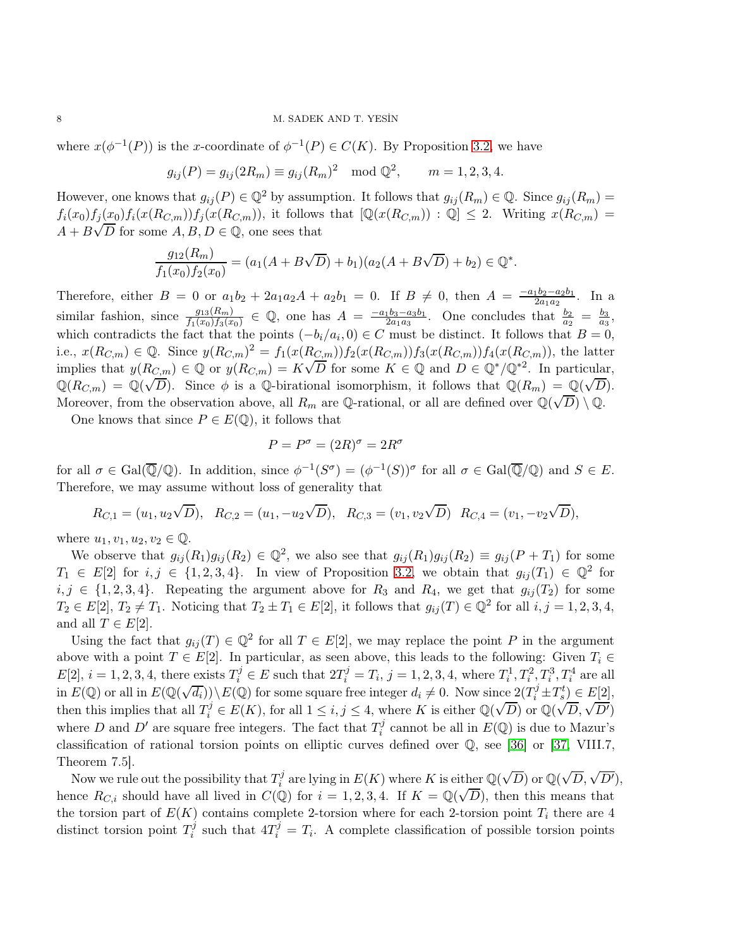where  $x(\phi^{-1}(P))$  is the x-coordinate of  $\phi^{-1}(P) \in C(K)$ . By Proposition [3.2,](#page-5-1) we have

$$
g_{ij}(P) = g_{ij}(2R_m) \equiv g_{ij}(R_m)^2 \mod \mathbb{Q}^2
$$
,  $m = 1, 2, 3, 4$ .

However, one knows that  $g_{ij}(P) \in \mathbb{Q}^2$  by assumption. It follows that  $g_{ij}(R_m) \in \mathbb{Q}$ . Since  $g_{ij}(R_m)$  $f_i(x_0)f_j(x_0)f_i(x(R_{C,m}))f_j(x(R_{C,m}))$ , it follows that  $[\mathbb{Q}(x(R_{C,m})) : \mathbb{Q}] \leq 2$ . Writing  $x(R_{C,m})$  $A + B\sqrt{D}$  for some  $A, B, D \in \mathbb{Q}$ , one sees that

$$
\frac{g_{12}(R_m)}{f_1(x_0)f_2(x_0)} = (a_1(A+B\sqrt{D})+b_1)(a_2(A+B\sqrt{D})+b_2) \in \mathbb{Q}^*.
$$

Therefore, either  $B = 0$  or  $a_1b_2 + 2a_1a_2A + a_2b_1 = 0$ . If  $B \neq 0$ , then  $A = \frac{-a_1b_2 - a_2b_1}{2a_1a_2}$  $\frac{1b_2-a_2b_1}{2a_1a_2}$ . In a similar fashion, since  $\frac{g_{13}(R_m)}{f_1(x_0)f_3(x_0)} \in \mathbb{Q}$ , one has  $A = \frac{-a_1b_3-a_3b_1}{2a_1a_3}$  $\frac{1}{2}b_3-a_3b_1}{a_3}$ . One concludes that  $\frac{b_2}{a_2} = \frac{b_3}{a_3}$  $\frac{b_3}{a_3},$ which contradicts the fact that the points  $(-b_i/a_i, 0) \in C$  must be distinct. It follows that  $B = 0$ , i.e.,  $x(R_{C,m}) \in \mathbb{Q}$ . Since  $y(R_{C,m})^2 = f_1(x(R_{C,m}))f_2(x(R_{C,m}))f_3(x(R_{C,m}))f_4(x(R_{C,m}))$ , the latter implies that  $y(R_{C,m}) \in \mathbb{Q}$  or  $y(R_{C,m}) = K\sqrt{D}$  for some  $K \in \mathbb{Q}$  and  $D \in \mathbb{Q}^*/\mathbb{Q}^{*2}$ . In particular,  $\mathbb{Q}(R_{C,m}) = \mathbb{Q}(\sqrt{D})$ . Since  $\phi$  is a Q-birational isomorphism, it follows that  $\mathbb{Q}(R_m) = \mathbb{Q}(\sqrt{D})$ . Moreover, from the observation above, all  $R_m$  are Q-rational, or all are defined over  $\mathbb{Q}(\sqrt{D}) \setminus \mathbb{Q}$ .

One knows that since  $P \in E(\mathbb{Q})$ , it follows that

$$
P = P^{\sigma} = (2R)^{\sigma} = 2R^{\sigma}
$$

for all  $\sigma \in \text{Gal}(\overline{\mathbb{Q}}/\mathbb{Q})$ . In addition, since  $\phi^{-1}(S^{\sigma}) = (\phi^{-1}(S))^{\sigma}$  for all  $\sigma \in \text{Gal}(\overline{\mathbb{Q}}/\mathbb{Q})$  and  $S \in E$ . Therefore, we may assume without loss of generality that

$$
R_{C,1} = (u_1, u_2\sqrt{D}), \ R_{C,2} = (u_1, -u_2\sqrt{D}), \ R_{C,3} = (v_1, v_2\sqrt{D}) \ R_{C,4} = (v_1, -v_2\sqrt{D}),
$$

where  $u_1, v_1, u_2, v_2 \in \mathbb{Q}$ .

We observe that  $g_{ij}(R_1)g_{ij}(R_2) \in \mathbb{Q}^2$ , we also see that  $g_{ij}(R_1)g_{ij}(R_2) \equiv g_{ij}(P+T_1)$  for some  $T_1 \in E[2]$  for  $i, j \in \{1, 2, 3, 4\}$ . In view of Proposition [3.2,](#page-5-1) we obtain that  $g_{ij}(T_1) \in \mathbb{Q}^2$  for  $i, j \in \{1, 2, 3, 4\}$ . Repeating the argument above for  $R_3$  and  $R_4$ , we get that  $g_{ij}(T_2)$  for some  $T_2 \in E[2], T_2 \neq T_1$ . Noticing that  $T_2 \pm T_1 \in E[2]$ , it follows that  $g_{ij}(T) \in \mathbb{Q}^2$  for all  $i, j = 1, 2, 3, 4$ , and all  $T \in E[2]$ .

Using the fact that  $g_{ij}(T) \in \mathbb{Q}^2$  for all  $T \in E[2]$ , we may replace the point P in the argument above with a point  $T \in E[2]$ . In particular, as seen above, this leads to the following: Given  $T_i \in$  $E[2], i = 1, 2, 3, 4$ , there exists  $T_i^j \in E$  such that  $2T_i^j = T_i$ ,  $j = 1, 2, 3, 4$ , where  $T_i^1, T_i^2, T_i^3, T_i^4$  are all in  $E(\mathbb{Q})$  or all in  $E(\mathbb{Q}(\sqrt{d_i}))\setminus E(\mathbb{Q})$  for some square free integer  $d_i \neq 0$ . Now since  $2(T_i^j \pm T_s^t) \in E[2]$ , then this implies that all  $T_i^j \in E(K)$ , for all  $1 \le i, j \le 4$ , where K is either  $\mathbb{Q}(\sqrt{D})$  or  $\mathbb{Q}(\sqrt{D}, \sqrt{D'})$ where D and D' are square free integers. The fact that  $T_i^j$  $i_i^j$  cannot be all in  $E(\mathbb{Q})$  is due to Mazur's classification of rational torsion points on elliptic curves defined over Q, see [\[36\]](#page-17-12) or [\[37,](#page-17-2) VIII.7, Theorem 7.5].

Now we rule out the possibility that  $T_i^j$  $\mathbb{R}^j_i$  are lying in  $E(K)$  where K is either  $\mathbb{Q}(\sqrt{D})$  or  $\mathbb{Q}(\sqrt{D}, \sqrt{D'})$ , hence  $R_{C,i}$  should have all lived in  $C(\mathbb{Q})$  for  $i = 1, 2, 3, 4$ . If  $K = \mathbb{Q}(\sqrt{D})$ , then this means that the torsion part of  $E(K)$  contains complete 2-torsion where for each 2-torsion point  $T_i$  there are 4 distinct torsion point  $T_i^j$ <sup>j</sup> such that  $4T_i^j = T_i$ . A complete classification of possible torsion points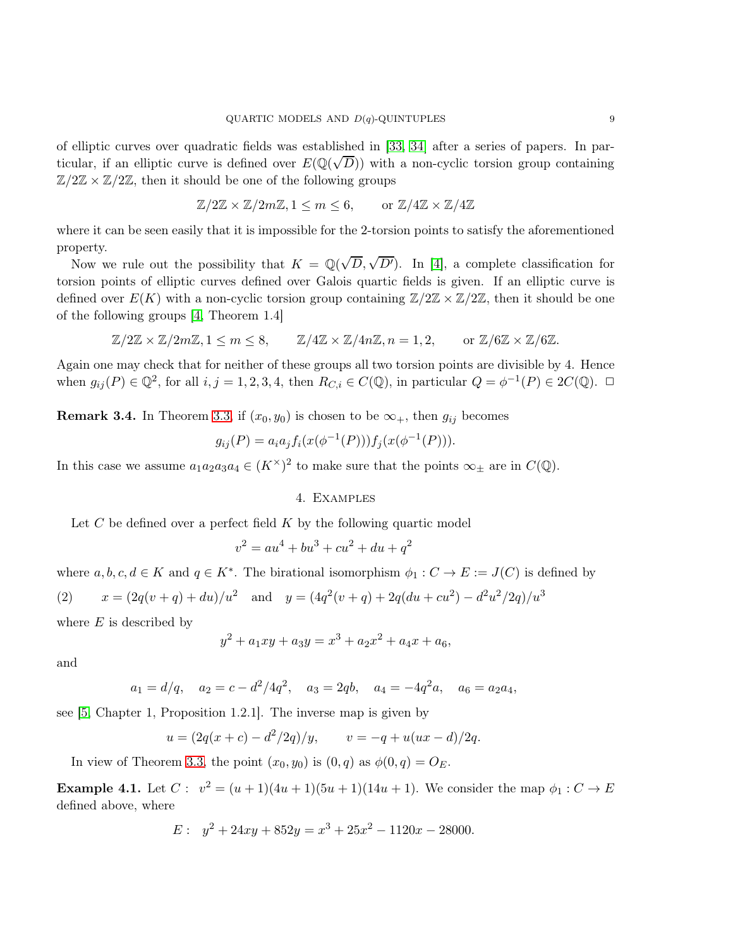of elliptic curves over quadratic fields was established in [\[33,](#page-17-13) [34\]](#page-17-14) after a series of papers. In particular, if an elliptic curve is defined over  $E(\mathbb{Q}(\sqrt{D}))$  with a non-cyclic torsion group containing  $\mathbb{Z}/2\mathbb{Z} \times \mathbb{Z}/2\mathbb{Z}$ , then it should be one of the following groups

$$
\mathbb{Z}/2\mathbb{Z} \times \mathbb{Z}/2m\mathbb{Z}, 1 \le m \le 6, \qquad \text{or } \mathbb{Z}/4\mathbb{Z} \times \mathbb{Z}/4\mathbb{Z}
$$

where it can be seen easily that it is impossible for the 2-torsion points to satisfy the aforementioned property.

Now we rule out the possibility that  $K = \mathbb{Q}(\sqrt{D}, \sqrt{D'})$ . In [\[4\]](#page-16-18), a complete classification for torsion points of elliptic curves defined over Galois quartic fields is given. If an elliptic curve is defined over  $E(K)$  with a non-cyclic torsion group containing  $\mathbb{Z}/2\mathbb{Z} \times \mathbb{Z}/2\mathbb{Z}$ , then it should be one of the following groups [\[4,](#page-16-18) Theorem 1.4]

$$
\mathbb{Z}/2\mathbb{Z} \times \mathbb{Z}/2m\mathbb{Z}, 1 \leq m \leq 8, \qquad \mathbb{Z}/4\mathbb{Z} \times \mathbb{Z}/4n\mathbb{Z}, n = 1, 2, \qquad \text{or } \mathbb{Z}/6\mathbb{Z} \times \mathbb{Z}/6\mathbb{Z}.
$$

Again one may check that for neither of these groups all two torsion points are divisible by 4. Hence when  $g_{ij}(P) \in \mathbb{Q}^2$ , for all  $i, j = 1, 2, 3, 4$ , then  $R_{C,i} \in C(\mathbb{Q})$ , in particular  $Q = \phi^{-1}(P) \in 2C(\mathbb{Q})$ .  $\Box$ 

<span id="page-8-0"></span>**Remark 3.4.** In Theorem [3.3,](#page-6-0) if  $(x_0, y_0)$  is chosen to be  $\infty_+$ , then  $g_{ij}$  becomes

$$
g_{ij}(P) = a_i a_j f_i(x(\phi^{-1}(P))) f_j(x(\phi^{-1}(P))).
$$

<span id="page-8-1"></span>In this case we assume  $a_1a_2a_3a_4 \in (K^{\times})^2$  to make sure that the points  $\infty_{\pm}$  are in  $C(\mathbb{Q})$ .

#### 4. Examples

Let  $C$  be defined over a perfect field  $K$  by the following quartic model

$$
v^2 = au^4 + bu^3 + cu^2 + du + q^2
$$

where  $a, b, c, d \in K$  and  $q \in K^*$ . The birational isomorphism  $\phi_1 : C \to E := J(C)$  is defined by

(2) 
$$
x = (2q(v+q) + du)/u^2
$$
 and  $y = (4q^2(v+q) + 2q(du+cu^2) - d^2u^2/2q)/u^3$ 

where  $E$  is described by

$$
y^2 + a_1xy + a_3y = x^3 + a_2x^2 + a_4x + a_6,
$$

and

$$
a_1 = d/q
$$
,  $a_2 = c - d^2/4q^2$ ,  $a_3 = 2qb$ ,  $a_4 = -4q^2a$ ,  $a_6 = a_2a_4$ ,

see [\[5,](#page-16-19) Chapter 1, Proposition 1.2.1]. The inverse map is given by

$$
u = (2q(x + c) - d^2/2q)/y,
$$
  $v = -q + u(ux - d)/2q.$ 

In view of Theorem [3.3,](#page-6-0) the point  $(x_0, y_0)$  is  $(0, q)$  as  $\phi(0, q) = O_E$ .

**Example 4.1.** Let  $C: v^2 = (u+1)(4u+1)(5u+1)(14u+1)$ . We consider the map  $\phi_1: C \to E$ defined above, where

$$
E: y^2 + 24xy + 852y = x^3 + 25x^2 - 1120x - 28000.
$$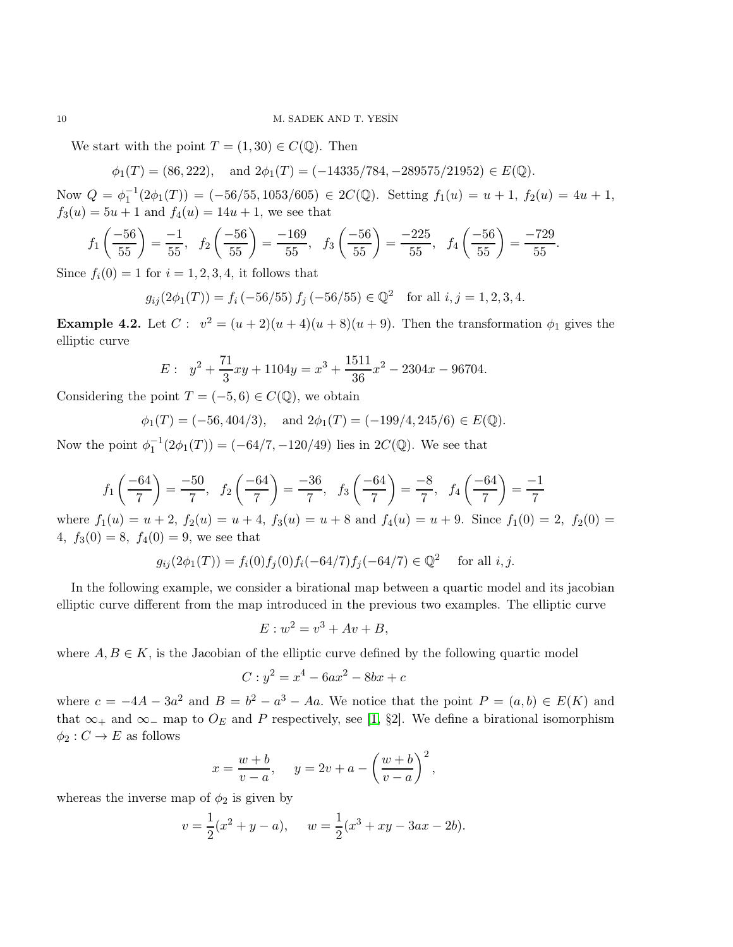We start with the point  $T = (1, 30) \in C(\mathbb{Q})$ . Then

 $\phi_1(T) = (86, 222), \text{ and } 2\phi_1(T) = (-14335/784, -289575/21952) \in E(\mathbb{Q}).$ 

Now  $Q = \phi_1^{-1}(2\phi_1(T)) = (-56/55, 1053/605) \in 2C(\mathbb{Q})$ . Setting  $f_1(u) = u + 1$ ,  $f_2(u) = 4u + 1$ ,  $f_3(u) = 5u + 1$  and  $f_4(u) = 14u + 1$ , we see that

$$
f_1\left(\frac{-56}{55}\right) = \frac{-1}{55}, \quad f_2\left(\frac{-56}{55}\right) = \frac{-169}{55}, \quad f_3\left(\frac{-56}{55}\right) = \frac{-225}{55}, \quad f_4\left(\frac{-56}{55}\right) = \frac{-729}{55}.
$$

Since  $f_i(0) = 1$  for  $i = 1, 2, 3, 4$ , it follows that

$$
g_{ij}(2\phi_1(T)) = f_i(-56/55) f_j(-56/55) \in \mathbb{Q}^2
$$
 for all  $i, j = 1, 2, 3, 4$ .

**Example 4.2.** Let  $C: v^2 = (u+2)(u+4)(u+8)(u+9)$ . Then the transformation  $\phi_1$  gives the elliptic curve

$$
E: \ y^2 + \frac{71}{3}xy + 1104y = x^3 + \frac{1511}{36}x^2 - 2304x - 96704.
$$

Considering the point  $T = (-5, 6) \in C(\mathbb{Q})$ , we obtain

$$
\phi_1(T) = (-56, 404/3), \text{ and } 2\phi_1(T) = (-199/4, 245/6) \in E(\mathbb{Q}).
$$

Now the point  $\phi_1^{-1}(2\phi_1(T)) = (-64/7, -120/49)$  lies in  $2C(\mathbb{Q})$ . We see that

$$
f_1\left(\frac{-64}{7}\right) = \frac{-50}{7}, \quad f_2\left(\frac{-64}{7}\right) = \frac{-36}{7}, \quad f_3\left(\frac{-64}{7}\right) = \frac{-8}{7}, \quad f_4\left(\frac{-64}{7}\right) = \frac{-1}{7}
$$

where  $f_1(u) = u + 2$ ,  $f_2(u) = u + 4$ ,  $f_3(u) = u + 8$  and  $f_4(u) = u + 9$ . Since  $f_1(0) = 2$ ,  $f_2(0) =$ 4,  $f_3(0) = 8$ ,  $f_4(0) = 9$ , we see that

$$
g_{ij}(2\phi_1(T)) = f_i(0)f_j(0)f_i(-64/7)f_j(-64/7) \in \mathbb{Q}^2 \quad \text{for all } i, j.
$$

In the following example, we consider a birational map between a quartic model and its jacobian elliptic curve different from the map introduced in the previous two examples. The elliptic curve

$$
E: w^2 = v^3 + Av + B,
$$

where  $A, B \in K$ , is the Jacobian of the elliptic curve defined by the following quartic model

$$
C: y^2 = x^4 - 6ax^2 - 8bx + c
$$

where  $c = -4A - 3a^2$  and  $B = b^2 - a^3 - Aa$ . We notice that the point  $P = (a, b) \in E(K)$  and that  $\infty_+$  and  $\infty_-$  map to  $O_E$  and P respectively, see [\[1,](#page-16-20) §2]. We define a birational isomorphism  $\phi_2 : C \to E$  as follows

$$
x = \frac{w+b}{v-a}, \quad y = 2v + a - \left(\frac{w+b}{v-a}\right)^2,
$$

whereas the inverse map of  $\phi_2$  is given by

$$
v = \frac{1}{2}(x^2 + y - a),
$$
  $w = \frac{1}{2}(x^3 + xy - 3ax - 2b).$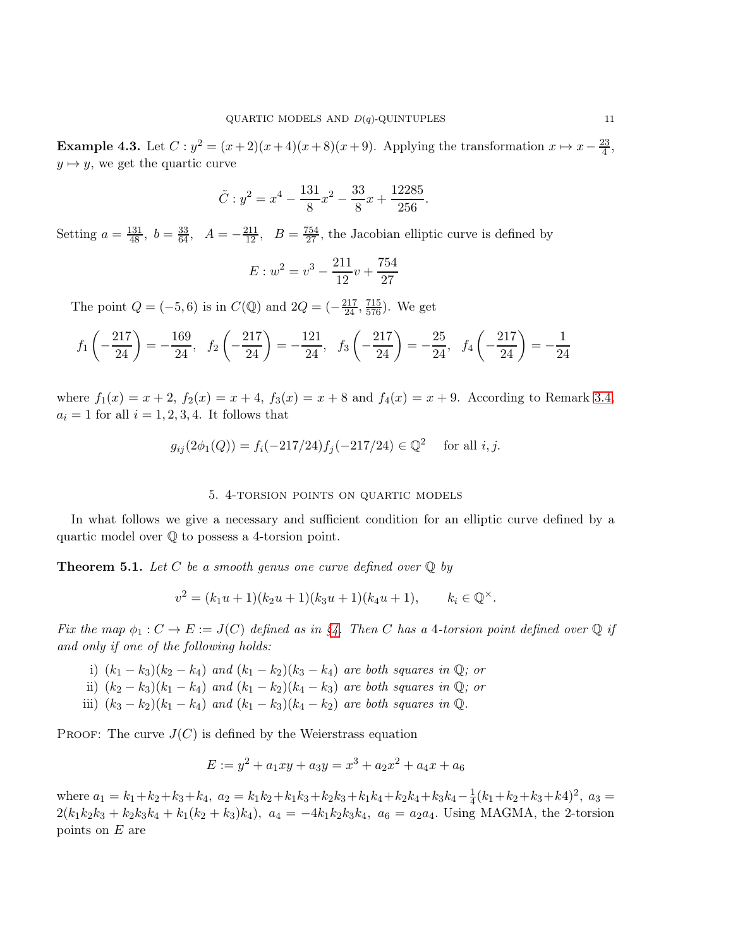Example 4.3. Let  $C: y^2 = (x+2)(x+4)(x+8)(x+9)$ . Applying the transformation  $x \mapsto x - \frac{23}{4}$  $\frac{23}{4}$ ,  $y \mapsto y$ , we get the quartic curve

$$
\tilde{C}: y^2 = x^4 - \frac{131}{8}x^2 - \frac{33}{8}x + \frac{12285}{256}.
$$

Setting  $a = \frac{131}{48}$ ,  $b = \frac{33}{64}$ ,  $A = -\frac{211}{12}$ ,  $B = \frac{754}{27}$ , the Jacobian elliptic curve is defined by

$$
E: w^2 = v^3 - \frac{211}{12}v + \frac{754}{27}
$$

The point  $Q = (-5, 6)$  is in  $C(\mathbb{Q})$  and  $2Q = (-\frac{217}{24}, \frac{715}{576})$ . We get

$$
f_1\left(-\frac{217}{24}\right) = -\frac{169}{24}, \quad f_2\left(-\frac{217}{24}\right) = -\frac{121}{24}, \quad f_3\left(-\frac{217}{24}\right) = -\frac{25}{24}, \quad f_4\left(-\frac{217}{24}\right) = -\frac{1}{24}
$$

where  $f_1(x) = x + 2$ ,  $f_2(x) = x + 4$ ,  $f_3(x) = x + 8$  and  $f_4(x) = x + 9$ . According to Remark [3.4,](#page-8-0)  $a_i = 1$  for all  $i = 1, 2, 3, 4$ . It follows that

$$
g_{ij}(2\phi_1(Q)) = f_i(-217/24)f_j(-217/24) \in \mathbb{Q}^2
$$
 for all *i*, *j*.

#### 5. 4-torsion points on quartic models

In what follows we give a necessary and sufficient condition for an elliptic curve defined by a quartic model over Q to possess a 4-torsion point.

<span id="page-10-0"></span>**Theorem 5.1.** Let C be a smooth genus one curve defined over  $\mathbb Q$  by

$$
v^{2} = (k_{1}u + 1)(k_{2}u + 1)(k_{3}u + 1)(k_{4}u + 1), \qquad k_{i} \in \mathbb{Q}^{\times}.
$$

Fix the map  $\phi_1: C \to E := J(C)$  defined as in [§4.](#page-8-1) Then C has a 4-torsion point defined over Q if and only if one of the following holds:

- i)  $(k_1 k_3)(k_2 k_4)$  and  $(k_1 k_2)(k_3 k_4)$  are both squares in  $\mathbb{Q}$ ; or
- ii)  $(k_2 k_3)(k_1 k_4)$  and  $(k_1 k_2)(k_4 k_3)$  are both squares in  $\mathbb{Q}$ ; or
- iii)  $(k_3 k_2)(k_1 k_4)$  and  $(k_1 k_3)(k_4 k_2)$  are both squares in  $\mathbb{Q}$ .

PROOF: The curve  $J(C)$  is defined by the Weierstrass equation

$$
E := y^2 + a_1xy + a_3y = x^3 + a_2x^2 + a_4x + a_6
$$

where  $a_1 = k_1 + k_2 + k_3 + k_4$ ,  $a_2 = k_1k_2 + k_1k_3 + k_2k_3 + k_1k_4 + k_2k_4 + k_3k_4 - \frac{1}{4}$  $\frac{1}{4}(k_1+k_2+k_3+k_4)^2$ ,  $a_3 =$  $2(k_1k_2k_3 + k_2k_3k_4 + k_1(k_2 + k_3)k_4)$ ,  $a_4 = -4k_1k_2k_3k_4$ ,  $a_6 = a_2a_4$ . Using MAGMA, the 2-torsion points on  $E$  are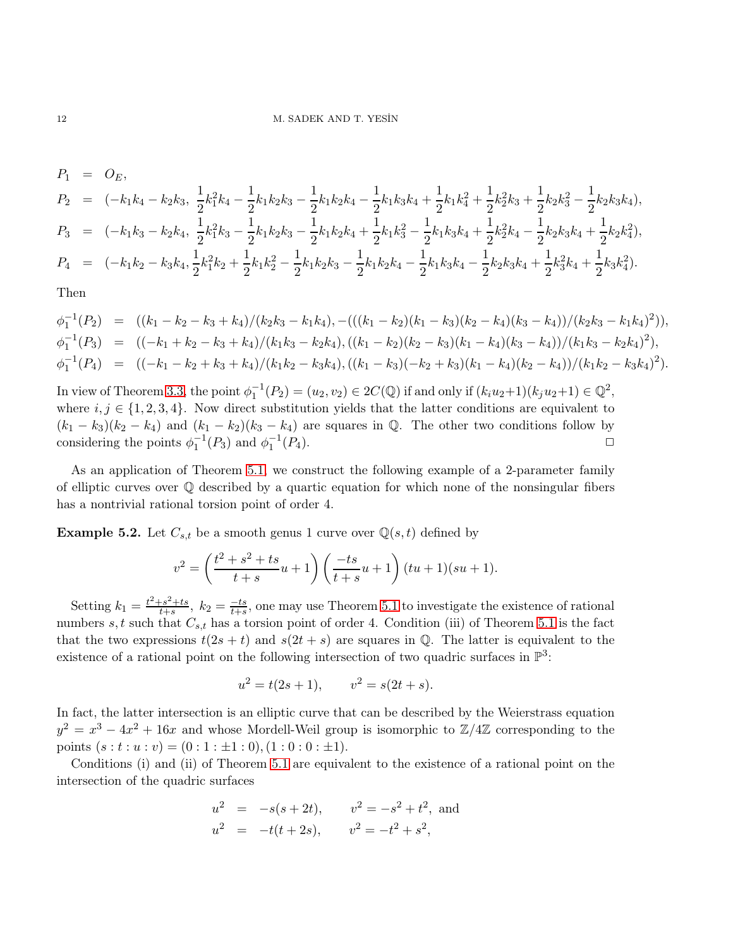$$
P_1 = O_E,
$$
  
\n
$$
P_2 = (-k_1k_4 - k_2k_3, \frac{1}{2}k_1^2k_4 - \frac{1}{2}k_1k_2k_3 - \frac{1}{2}k_1k_2k_4 - \frac{1}{2}k_1k_3k_4 + \frac{1}{2}k_1k_4^2 + \frac{1}{2}k_2^2k_3 + \frac{1}{2}k_2k_3^2 - \frac{1}{2}k_2k_3k_4),
$$
  
\n
$$
P_3 = (-k_1k_3 - k_2k_4, \frac{1}{2}k_1^2k_3 - \frac{1}{2}k_1k_2k_3 - \frac{1}{2}k_1k_2k_4 + \frac{1}{2}k_1k_3^2 - \frac{1}{2}k_1k_3k_4 + \frac{1}{2}k_2^2k_4 - \frac{1}{2}k_2k_3k_4 + \frac{1}{2}k_2k_4^2),
$$
  
\n
$$
P_4 = (-k_1k_2 - k_3k_4, \frac{1}{2}k_1^2k_2 + \frac{1}{2}k_1k_2^2 - \frac{1}{2}k_1k_2k_3 - \frac{1}{2}k_1k_2k_4 - \frac{1}{2}k_1k_3k_4 - \frac{1}{2}k_2k_3k_4 + \frac{1}{2}k_3^2k_4 + \frac{1}{2}k_3k_4^2).
$$

Then

 $\phi_1^{-1}(P_2) = ((k_1 - k_2 - k_3 + k_4)/(k_2k_3 - k_1k_4), -(((k_1 - k_2)(k_1 - k_3)(k_2 - k_4)(k_3 - k_4))/(k_2k_3 - k_1k_4)^2)),$  $\phi_1^{-1}(P_3) = ((-k_1 + k_2 - k_3 + k_4)/(k_1k_3 - k_2k_4), ((k_1 - k_2)(k_2 - k_3)(k_1 - k_4)(k_3 - k_4))/(k_1k_3 - k_2k_4)^2),$  $\phi_1^{-1}(P_4) = ((-k_1 - k_2 + k_3 + k_4)/(k_1k_2 - k_3k_4), ((k_1 - k_3)(-k_2 + k_3)(k_1 - k_4)(k_2 - k_4))/(k_1k_2 - k_3k_4)^2).$ 

In view of Theorem [3.3,](#page-6-0) the point  $\phi_1^{-1}(P_2) = (u_2, v_2) \in 2C(\mathbb{Q})$  if and only if  $(k_iu_2+1)(k_ju_2+1) \in \mathbb{Q}^2$ , where  $i, j \in \{1, 2, 3, 4\}$ . Now direct substitution yields that the latter conditions are equivalent to  $(k_1 - k_3)(k_2 - k_4)$  and  $(k_1 - k_2)(k_3 - k_4)$  are squares in Q. The other two conditions follow by considering the points  $\phi_1^{-1}(P_3)$  and  $\phi_1^{-1}(P_4)$ . considering the points  $\phi_1^{-1}(P_3)$  and  $\phi_1^{-1}$  $(P_4)$ .

As an application of Theorem [5.1,](#page-10-0) we construct the following example of a 2-parameter family of elliptic curves over Q described by a quartic equation for which none of the nonsingular fibers has a nontrivial rational torsion point of order 4.

**Example 5.2.** Let  $C_{s,t}$  be a smooth genus 1 curve over  $\mathbb{Q}(s,t)$  defined by

$$
v^{2} = \left(\frac{t^{2} + s^{2} + ts}{t + s}u + 1\right)\left(\frac{-ts}{t + s}u + 1\right)(tu + 1)(su + 1).
$$

Setting  $k_1 = \frac{t^2 + s^2 + ts}{t + s}$  $\frac{t-s^2+ts}{t+s}$ ,  $k_2 = \frac{-ts}{t+s}$ , one may use Theorem [5.1](#page-10-0) to investigate the existence of rational numbers s, t such that  $C_{s,t}$  has a torsion point of order 4. Condition (iii) of Theorem [5.1](#page-10-0) is the fact that the two expressions  $t(2s + t)$  and  $s(2t + s)$  are squares in  $\mathbb{Q}$ . The latter is equivalent to the existence of a rational point on the following intersection of two quadric surfaces in  $\mathbb{P}^3$ :

$$
u^2 = t(2s + 1), \qquad v^2 = s(2t + s).
$$

In fact, the latter intersection is an elliptic curve that can be described by the Weierstrass equation  $y^2 = x^3 - 4x^2 + 16x$  and whose Mordell-Weil group is isomorphic to  $\mathbb{Z}/4\mathbb{Z}$  corresponding to the points  $(s : t : u : v) = (0 : 1 : \pm 1 : 0), (1 : 0 : 0 : \pm 1).$ 

Conditions (i) and (ii) of Theorem [5.1](#page-10-0) are equivalent to the existence of a rational point on the intersection of the quadric surfaces

$$
u2 = -s(s + 2t),
$$
  $v2 = -s2 + t2$ , and  
\n $u2 = -t(t + 2s),$   $v2 = -t2 + s2$ ,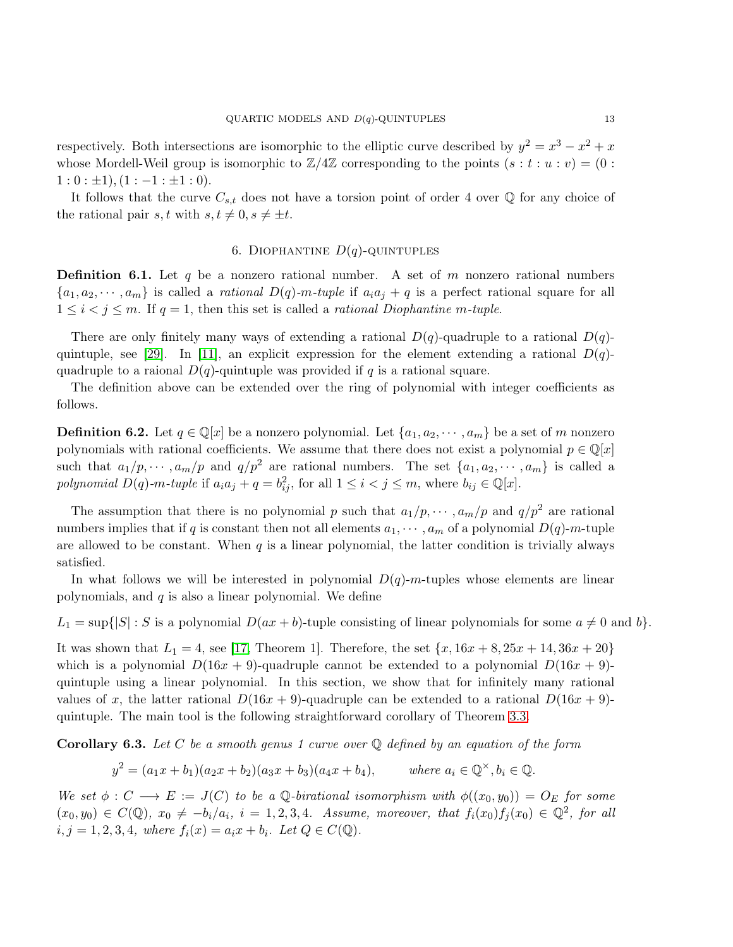respectively. Both intersections are isomorphic to the elliptic curve described by  $y^2 = x^3 - x^2 + x$ whose Mordell-Weil group is isomorphic to  $\mathbb{Z}/4\mathbb{Z}$  corresponding to the points  $(s : t : u : v) = (0 :$  $1:0: \pm 1$ ,  $(1:-1: \pm 1: 0)$ .

It follows that the curve  $C_{s,t}$  does not have a torsion point of order 4 over  $\mathbb Q$  for any choice of the rational pair s, t with  $s, t \neq 0, s \neq \pm t$ .

## 6. DIOPHANTINE  $D(q)$ -QUINTUPLES

**Definition 6.1.** Let q be a nonzero rational number. A set of m nonzero rational numbers  ${a_1, a_2, \dots, a_m}$  is called a *rational*  $D(q)$ -m-tuple if  $a_i a_j + q$  is a perfect rational square for all  $1 \leq i \leq j \leq m$ . If  $q = 1$ , then this set is called a *rational Diophantine m-tuple*.

There are only finitely many ways of extending a rational  $D(q)$ -quadruple to a rational  $D(q)$ -quintuple, see [\[29\]](#page-17-10). In [\[11\]](#page-16-15), an explicit expression for the element extending a rational  $D(q)$ quadruple to a raional  $D(q)$ -quintuple was provided if q is a rational square.

The definition above can be extended over the ring of polynomial with integer coefficients as follows.

**Definition 6.2.** Let  $q \in \mathbb{Q}[x]$  be a nonzero polynomial. Let  $\{a_1, a_2, \dots, a_m\}$  be a set of m nonzero polynomials with rational coefficients. We assume that there does not exist a polynomial  $p \in \mathbb{Q}[x]$ such that  $a_1/p, \dots, a_m/p$  and  $q/p^2$  are rational numbers. The set  $\{a_1, a_2, \dots, a_m\}$  is called a polynomial  $D(q)$ -m-tuple if  $a_i a_j + q = b_{ij}^2$ , for all  $1 \le i < j \le m$ , where  $b_{ij} \in \mathbb{Q}[x]$ .

The assumption that there is no polynomial p such that  $a_1/p, \dots, a_m/p$  and  $q/p^2$  are rational numbers implies that if q is constant then not all elements  $a_1, \dots, a_m$  of a polynomial  $D(q)$ -m-tuple are allowed to be constant. When  $q$  is a linear polynomial, the latter condition is trivially always satisfied.

In what follows we will be interested in polynomial  $D(q)$ -m-tuples whose elements are linear polynomials, and  $q$  is also a linear polynomial. We define

 $L_1 = \sup\{|S| : S \text{ is a polynomial } D(ax + b)$ -tuple consisting of linear polynomials for some  $a \neq 0$  and b.

It was shown that  $L_1 = 4$ , see [\[17,](#page-16-13) Theorem 1]. Therefore, the set  $\{x, 16x + 8, 25x + 14, 36x + 20\}$ which is a polynomial  $D(16x + 9)$ -quadruple cannot be extended to a polynomial  $D(16x + 9)$ quintuple using a linear polynomial. In this section, we show that for infinitely many rational values of x, the latter rational  $D(16x + 9)$ -quadruple can be extended to a rational  $D(16x + 9)$ quintuple. The main tool is the following straightforward corollary of Theorem [3.3.](#page-6-0)

<span id="page-12-0"></span>**Corollary 6.3.** Let C be a smooth genus 1 curve over  $\mathbb Q$  defined by an equation of the form

$$
y^2 = (a_1x + b_1)(a_2x + b_2)(a_3x + b_3)(a_4x + b_4),
$$
 where  $a_i \in \mathbb{Q}^{\times}, b_i \in \mathbb{Q}.$ 

We set  $\phi: C \longrightarrow E := J(C)$  to be a Q-birational isomorphism with  $\phi((x_0, y_0)) = O_E$  for some  $(x_0, y_0) \in C(\mathbb{Q})$ ,  $x_0 \neq -b_i/a_i$ ,  $i = 1, 2, 3, 4$ . Assume, moreover, that  $f_i(x_0)f_j(x_0) \in \mathbb{Q}^2$ , for all  $i, j = 1, 2, 3, 4$ , where  $f_i(x) = a_i x + b_i$ . Let  $Q \in C(\mathbb{Q})$ .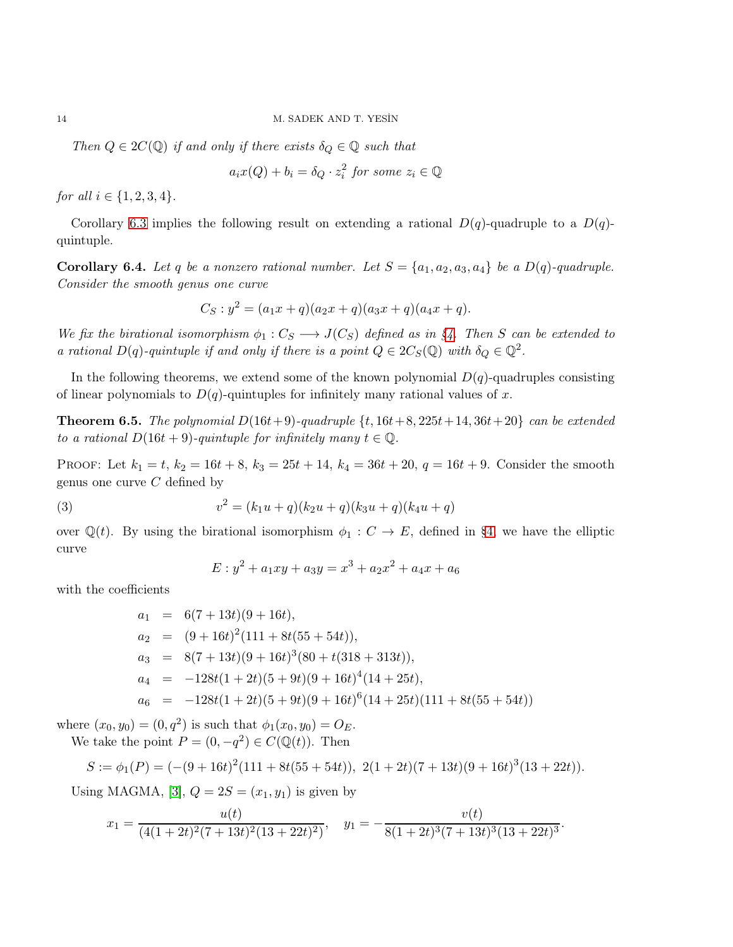Then  $Q \in 2C(\mathbb{Q})$  if and only if there exists  $\delta_Q \in \mathbb{Q}$  such that

$$
a_i x(Q) + b_i = \delta_Q \cdot z_i^2 \text{ for some } z_i \in \mathbb{Q}
$$

for all  $i \in \{1, 2, 3, 4\}.$ 

Corollary [6.3](#page-12-0) implies the following result on extending a rational  $D(q)$ -quadruple to a  $D(q)$ quintuple.

<span id="page-13-0"></span>Corollary 6.4. Let q be a nonzero rational number. Let  $S = \{a_1, a_2, a_3, a_4\}$  be a  $D(q)$ -quadruple. Consider the smooth genus one curve

$$
C_S: y^2 = (a_1x + q)(a_2x + q)(a_3x + q)(a_4x + q).
$$

We fix the birational isomorphism  $\phi_1 : C_S \longrightarrow J(C_S)$  defined as in [§4.](#page-8-1) Then S can be extended to a rational  $D(q)$ -quintuple if and only if there is a point  $Q \in 2C_S(\mathbb{Q})$  with  $\delta_Q \in \mathbb{Q}^2$ .

In the following theorems, we extend some of the known polynomial  $D(q)$ -quadruples consisting of linear polynomials to  $D(q)$ -quintuples for infinitely many rational values of x.

<span id="page-13-1"></span>**Theorem 6.5.** The polynomial  $D(16t+9)$ -quadruple  $\{t, 16t+8, 225t+14, 36t+20\}$  can be extended to a rational  $D(16t + 9)$ -quintuple for infinitely many  $t \in \mathbb{Q}$ .

PROOF: Let  $k_1 = t$ ,  $k_2 = 16t + 8$ ,  $k_3 = 25t + 14$ ,  $k_4 = 36t + 20$ ,  $q = 16t + 9$ . Consider the smooth genus one curve  $C$  defined by

(3) 
$$
v^{2} = (k_{1}u + q)(k_{2}u + q)(k_{3}u + q)(k_{4}u + q)
$$

over  $\mathbb{Q}(t)$ . By using the birational isomorphism  $\phi_1 : C \to E$ , defined in [§4,](#page-8-1) we have the elliptic curve

$$
E: y^2 + a_1xy + a_3y = x^3 + a_2x^2 + a_4x + a_6
$$

with the coefficients

$$
a_1 = 6(7 + 13t)(9 + 16t),
$$
  
\n
$$
a_2 = (9 + 16t)^2(111 + 8t(55 + 54t)),
$$
  
\n
$$
a_3 = 8(7 + 13t)(9 + 16t)^3(80 + t(318 + 313t)),
$$
  
\n
$$
a_4 = -128t(1 + 2t)(5 + 9t)(9 + 16t)^4(14 + 25t),
$$
  
\n
$$
a_6 = -128t(1 + 2t)(5 + 9t)(9 + 16t)^6(14 + 25t)(111 + 8t(55 + 54t))
$$

where  $(x_0, y_0) = (0, q^2)$  is such that  $\phi_1(x_0, y_0) = O_E$ . We take the point  $P = (0, -q^2) \in C(\mathbb{Q}(t))$ . Then

$$
S := \phi_1(P) = \left(-\left(9 + 16t\right)^2\left(111 + 8t\left(55 + 54t\right)\right), \ 2\left(1 + 2t\right)\left(7 + 13t\right)\left(9 + 16t\right)^3\left(13 + 22t\right)\right).
$$

Using MAGMA, [\[3\]](#page-16-21),  $Q = 2S = (x_1, y_1)$  is given by

$$
x_1 = \frac{u(t)}{(4(1+2t)^2(7+13t)^2(13+22t)^2)}, \quad y_1 = -\frac{v(t)}{8(1+2t)^3(7+13t)^3(13+22t)^3}.
$$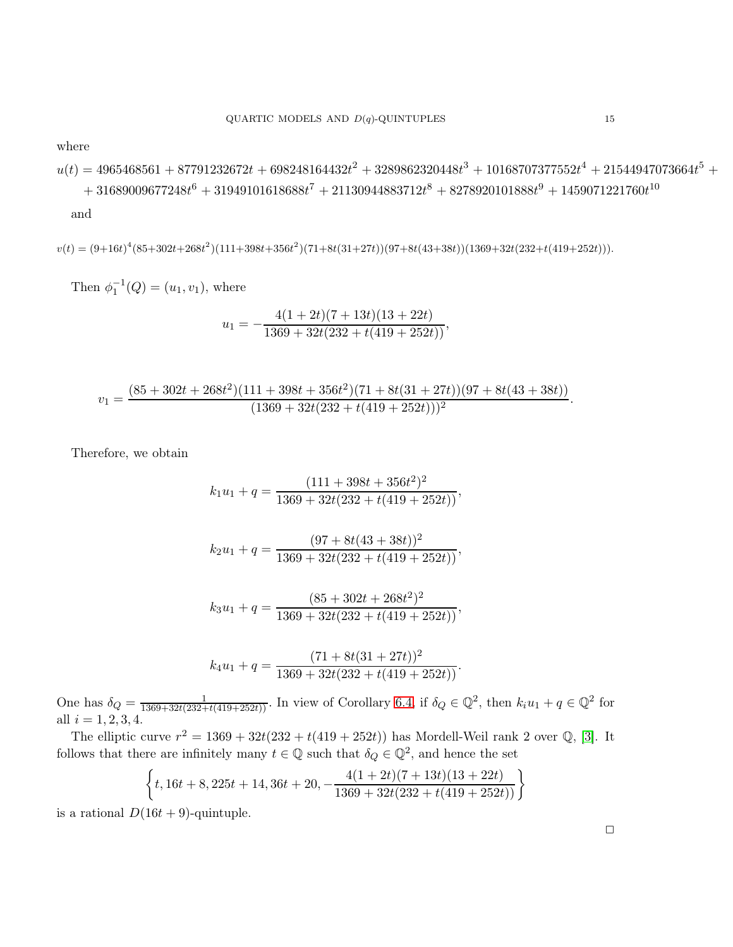where

 $u(t) = 4965468561 + 87791232672t + 698248164432t^2 + 3289862320448t^3 + 10168707377552t^4 + 21544947073664t^5 +$  $+ \ 31689009677248t^6 + 31949101618688t^7 + 21130944883712t^8 + 8278920101888t^9 + 1459071221760t^{10}$ 

and

 $v(t) = (9+16t)^4(85+302t+268t^2)(111+398t+356t^2)(71+8t(31+27t))(97+8t(43+38t))(1369+32t(232+t(419+252t))).$ 

Then  $\phi_1^{-1}(Q) = (u_1, v_1)$ , where

$$
u_1 = -\frac{4(1+2t)(7+13t)(13+22t)}{1369+32t(232+t(419+252t))},
$$

$$
v_1 = \frac{(85 + 302t + 268t^2)(111 + 398t + 356t^2)(71 + 8t(31 + 27t))(97 + 8t(43 + 38t))}{(1369 + 32t(232 + t(419 + 252t)))^2}.
$$

Therefore, we obtain

$$
k_1u_1 + q = \frac{(111 + 398t + 356t^2)^2}{1369 + 32t(232 + t(419 + 252t))},
$$
  

$$
k_2u_1 + q = \frac{(97 + 8t(43 + 38t))^2}{1369 + 32t(232 + t(419 + 252t))},
$$

$$
k_3u_1 + q = \frac{(85 + 302t + 268t^2)^2}{1369 + 32t(232 + t(419 + 252t))},
$$

$$
k_4u_1 + q = \frac{(71 + 8t(31 + 27t))^2}{1369 + 32t(232 + t(419 + 252t))}.
$$

One has  $\delta_Q = \frac{1}{1369+32t(232+t(419+252t))}$ . In view of Corollary [6.4,](#page-13-0) if  $\delta_Q \in \mathbb{Q}^2$ , then  $k_i u_1 + q \in \mathbb{Q}^2$  for all  $i = 1, 2, 3, 4$ .

The elliptic curve  $r^2 = 1369 + 32t(232 + t(419 + 252t))$  has Mordell-Weil rank 2 over Q, [\[3\]](#page-16-21). It follows that there are infinitely many  $t \in \mathbb{Q}$  such that  $\delta_Q \in \mathbb{Q}^2$ , and hence the set

$$
\left\{t, 16t+8, 225t+14, 36t+20, -\frac{4(1+2t)(7+13t)(13+22t)}{1369+32t(232+t(419+252t))}\right\}
$$

is a rational  $D(16t + 9)$ -quintuple.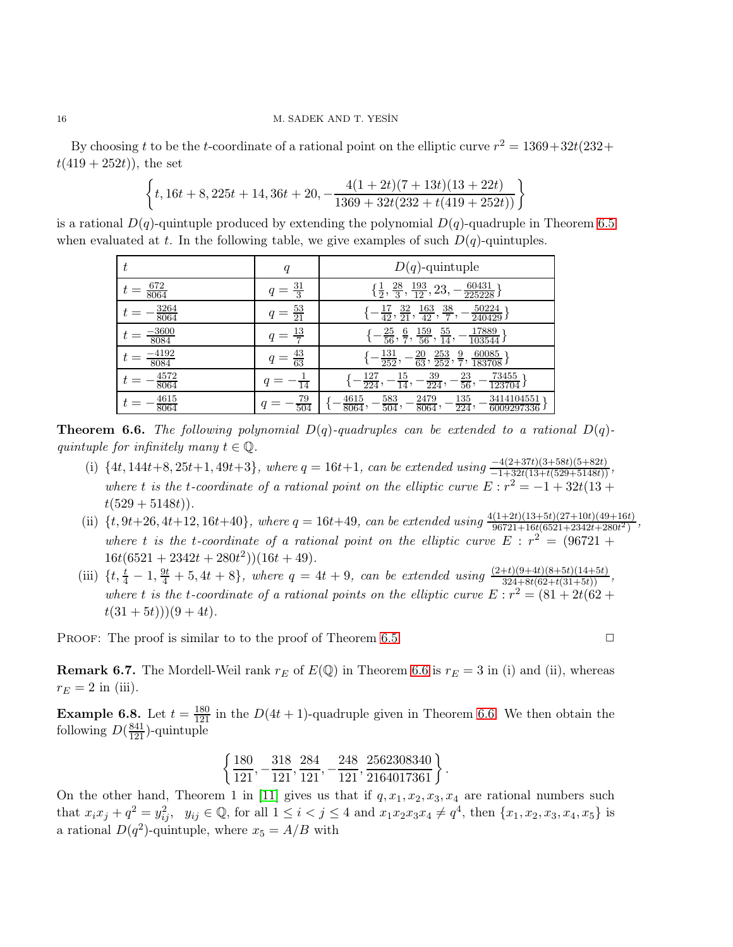By choosing t to be the t-coordinate of a rational point on the elliptic curve  $r^2 = 1369 + 32t(232 +$  $t(419 + 252t)$ , the set

$$
\left\{t, 16t+8, 225t+14, 36t+20, -\frac{4(1+2t)(7+13t)(13+22t)}{1369+32t(232+t(419+252t))}\right\}
$$

is a rational  $D(q)$ -quintuple produced by extending the polynomial  $D(q)$ -quadruple in Theorem [6.5](#page-13-1) when evaluated at t. In the following table, we give examples of such  $D(q)$ -quintuples.

| t                         | q                      | $D(q)$ -quintuple                                                                                 |
|---------------------------|------------------------|---------------------------------------------------------------------------------------------------|
| $\frac{672}{8064}$        | $\frac{31}{3}$         | 60431<br>$\frac{193}{12}$<br>$\frac{28}{3}$ ,<br>23,<br>$\frac{1}{2}$ ,<br>225228                 |
| $\frac{3264}{8064}$       | $\frac{53}{21}$<br>=   | 50224<br>163<br>$\frac{38}{7}$<br>$\frac{32}{21}$<br>$\frac{17}{42}$ ,<br>42<br>240429            |
| $\frac{\cdot 3600}{8084}$ | $\frac{13}{7}$         | 17889<br>$\frac{55}{14}$ ,<br>$\frac{159}{56}$ ,<br>$\frac{25}{56}$<br>$\frac{6}{7}$ ,<br>103544  |
| -4192<br>8084             | $\frac{43}{63}$<br>$=$ | 60085<br>$\frac{131}{252},$<br>$\frac{253}{252},$<br>$\frac{20}{63}$ ,<br>$\frac{9}{7}$<br>183708 |
| $\frac{4572}{8064}$       | $\overline{14}$        | 73455<br>$\frac{127}{224},$<br>$\frac{39}{224}$<br>$\frac{23}{56}$<br>$\frac{15}{14}$ ,<br>123704 |
| 4615<br>8064              | $\frac{79}{504}$<br>q  | 135<br>3414104551<br>4615<br>583<br>2479<br>224<br>8064<br>$\overline{504}$<br>8064<br>6009297336 |

<span id="page-15-0"></span>**Theorem 6.6.** The following polynomial  $D(q)$ -quadruples can be extended to a rational  $D(q)$ quintuple for infinitely many  $t \in \mathbb{Q}$ .

- (i)  $\{4t, 144t+8, 25t+1, 49t+3\}$ , where  $q = 16t+1$ , can be extended using  $\frac{-4(2+37t)(3+58t)(5+82t)}{-1+32t(13+t(529+5148t))}$ , where t is the t-coordinate of a rational point on the elliptic curve  $E: r^2 = -1 + 32t(13 +$  $t(529+5148t)$ .
- (ii)  $\{t, 9t+26, 4t+12, 16t+40\}$ , where  $q = 16t+49$ , can be extended using  $\frac{4(1+2t)(13+5t)(27+10t)(49+16t)}{96721+16t(6521+2342t+280t^2)}$ , where t is the t-coordinate of a rational point on the elliptic curve  $E : r^2 = (96721 +$  $16t(6521+2342t+280t^2))(16t+49).$
- (iii)  $\{t, \frac{t}{4} 1, \frac{9t}{4} + 5, 4t + 8\}$ , where  $q = 4t + 9$ , can be extended using  $\frac{(2+t)(9+4t)(8+5t)(14+5t)}{324+8t(62+t(31+5t))}$ , where t is the t-coordinate of a rational points on the elliptic curve  $E: r^2 = (81 + 2t(62 +$  $t(31+5t))$  $(9+4t)$ .

PROOF: The proof is similar to to the proof of Theorem [6.5.](#page-13-1)  $\Box$ 

**Remark 6.7.** The Mordell-Weil rank  $r_E$  of  $E(\mathbb{Q})$  in Theorem [6.6](#page-15-0) is  $r_E = 3$  in (i) and (ii), whereas  $r_E = 2$  in (iii).

**Example 6.8.** Let  $t = \frac{180}{121}$  in the  $D(4t + 1)$ -quadruple given in Theorem [6.6.](#page-15-0) We then obtain the following  $D(\frac{841}{121})$ -quintuple

$$
\left\{\frac{180}{121},-\frac{318}{121},\frac{284}{121},-\frac{248}{121},\frac{2562308340}{2164017361}\right\}.
$$

On the other hand, Theorem 1 in [\[11\]](#page-16-15) gives us that if  $q, x_1, x_2, x_3, x_4$  are rational numbers such that  $x_i x_j + q^2 = y_{ij}^2$ ,  $y_{ij} \in \mathbb{Q}$ , for all  $1 \leq i < j \leq 4$  and  $x_1 x_2 x_3 x_4 \neq q^4$ , then  $\{x_1, x_2, x_3, x_4, x_5\}$  is a rational  $D(q^2)$ -quintuple, where  $x_5 = A/B$  with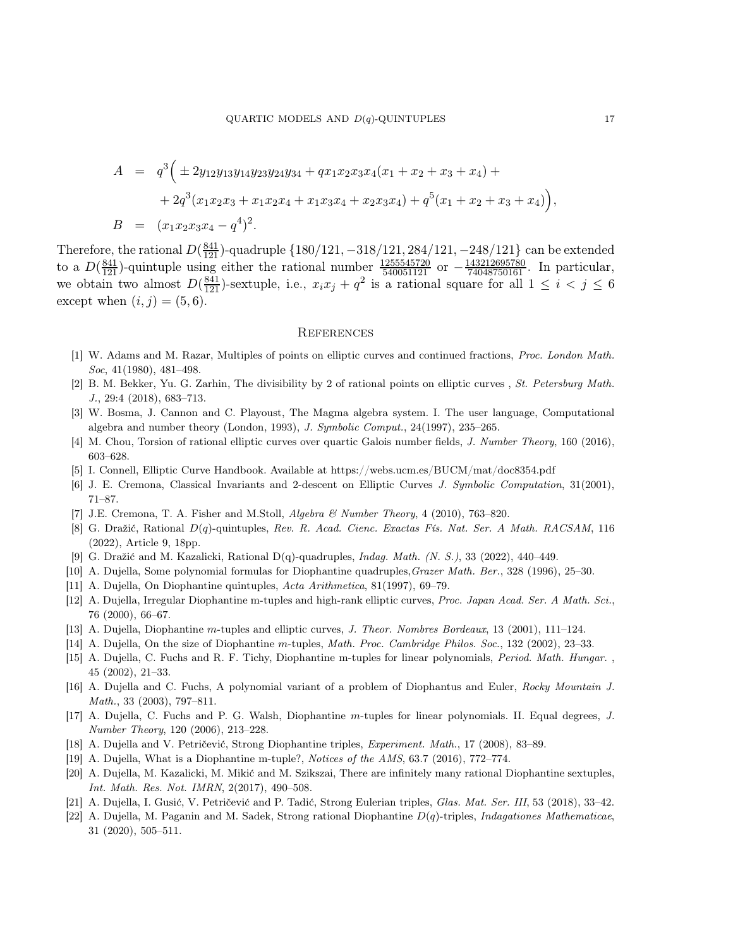$$
A = q3 ( \pm 2y_{12}y_{13}y_{14}y_{23}y_{24}y_{34} + qx_1x_2x_3x_4(x_1 + x_2 + x_3 + x_4) + + 2q3(x_1x_2x_3 + x_1x_2x_4 + x_1x_3x_4 + x_2x_3x_4) + q5(x_1 + x_2 + x_3 + x_4) ),
$$
  
\n
$$
B = (x_1x_2x_3x_4 - q4)2.
$$

Therefore, the rational  $D(\frac{841}{121})$ -quadruple  $\{180/121, -318/121, 284/121, -248/121\}$  can be extended to a  $D(\frac{841}{121})$ -quintuple using either the rational number  $\frac{1255545720}{540051121}$  or  $-\frac{143212695780}{74048750161}$ . In particular, we obtain two almost  $D(\frac{841}{121})$ -sextuple, i.e.,  $x_i x_j + q^2$  is a rational square for all  $1 \leq i < j \leq 6$ except when  $(i, j) = (5, 6)$ .

#### **REFERENCES**

- <span id="page-16-20"></span><span id="page-16-0"></span>[1] W. Adams and M. Razar, Multiples of points on elliptic curves and continued fractions, Proc. London Math. Soc, 41(1980), 481–498.
- <span id="page-16-21"></span>[2] B. M. Bekker, Yu. G. Zarhin, The divisibility by 2 of rational points on elliptic curves , St. Petersburg Math. J., 29:4 (2018), 683–713.
- [3] W. Bosma, J. Cannon and C. Playoust, The Magma algebra system. I. The user language, Computational algebra and number theory (London, 1993), J. Symbolic Comput., 24(1997), 235–265.
- <span id="page-16-19"></span><span id="page-16-18"></span>[4] M. Chou, Torsion of rational elliptic curves over quartic Galois number fields, J. Number Theory, 160 (2016), 603–628.
- <span id="page-16-17"></span>[5] I. Connell, Elliptic Curve Handbook. Available at https://webs.ucm.es/BUCM/mat/doc8354.pdf
- <span id="page-16-16"></span>[6] J. E. Cremona, Classical Invariants and 2-descent on Elliptic Curves J. Symbolic Computation, 31(2001), 71–87.
- <span id="page-16-3"></span>[7] J.E. Cremona, T. A. Fisher and M.Stoll, Algebra & Number Theory, 4 (2010), 763–820.
- [8] G. Dražić, Rational D(q)-quintuples, Rev. R. Acad. Cienc. Exactas Fís. Nat. Ser. A Math. RACSAM, 116 (2022), Article 9, 18pp.
- <span id="page-16-12"></span><span id="page-16-5"></span>[9] G. Dražić and M. Kazalicki, Rational D(q)-quadruples, Indag. Math. (N. S.), 33 (2022), 440–449.
- <span id="page-16-15"></span>[10] A. Dujella, Some polynomial formulas for Diophantine quadruples,Grazer Math. Ber., 328 (1996), 25–30.
- <span id="page-16-4"></span>[11] A. Dujella, On Diophantine quintuples, Acta Arithmetica, 81(1997), 69–79.
- [12] A. Dujella, Irregular Diophantine m-tuples and high-rank elliptic curves, Proc. Japan Acad. Ser. A Math. Sci., 76 (2000), 66–67.
- <span id="page-16-10"></span><span id="page-16-1"></span>[13] A. Dujella, Diophantine m-tuples and elliptic curves, J. Theor. Nombres Bordeaux, 13 (2001), 111–124.
- <span id="page-16-14"></span>[14] A. Dujella, On the size of Diophantine m-tuples, Math. Proc. Cambridge Philos. Soc., 132 (2002), 23–33.
- <span id="page-16-11"></span>[15] A. Dujella, C. Fuchs and R. F. Tichy, Diophantine m-tuples for linear polynomials, Period. Math. Hungar. , 45 (2002), 21–33.
- <span id="page-16-13"></span>[16] A. Dujella and C. Fuchs, A polynomial variant of a problem of Diophantus and Euler, Rocky Mountain J. Math., 33 (2003), 797–811.
- [17] A. Dujella, C. Fuchs and P. G. Walsh, Diophantine m-tuples for linear polynomials. II. Equal degrees, J. Number Theory, 120 (2006), 213–228.
- <span id="page-16-9"></span><span id="page-16-6"></span>[18] A. Dujella and V. Petričević, Strong Diophantine triples, Experiment. Math., 17 (2008), 83–89.
- <span id="page-16-2"></span>[19] A. Dujella, What is a Diophantine m-tuple?, Notices of the AMS, 63.7 (2016), 772–774.
- [20] A. Dujella, M. Kazalicki, M. Mikić and M. Szikszai, There are infinitely many rational Diophantine sextuples, Int. Math. Res. Not. IMRN, 2(2017), 490–508.
- <span id="page-16-8"></span><span id="page-16-7"></span>[21] A. Dujella, I. Gusić, V. Petričević and P. Tadić, Strong Eulerian triples, Glas. Mat. Ser. III, 53 (2018), 33–42.
- [22] A. Dujella, M. Paganin and M. Sadek, Strong rational Diophantine  $D(q)$ -triples, *Indagationes Mathematicae*, 31 (2020), 505–511.